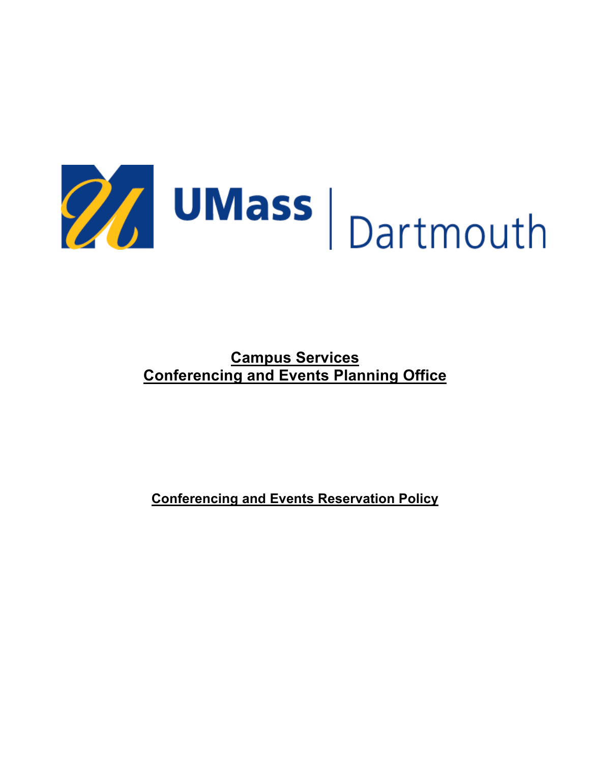

**Campus Services Conferencing and Events Planning Office**

**Conferencing and Events Reservation Policy**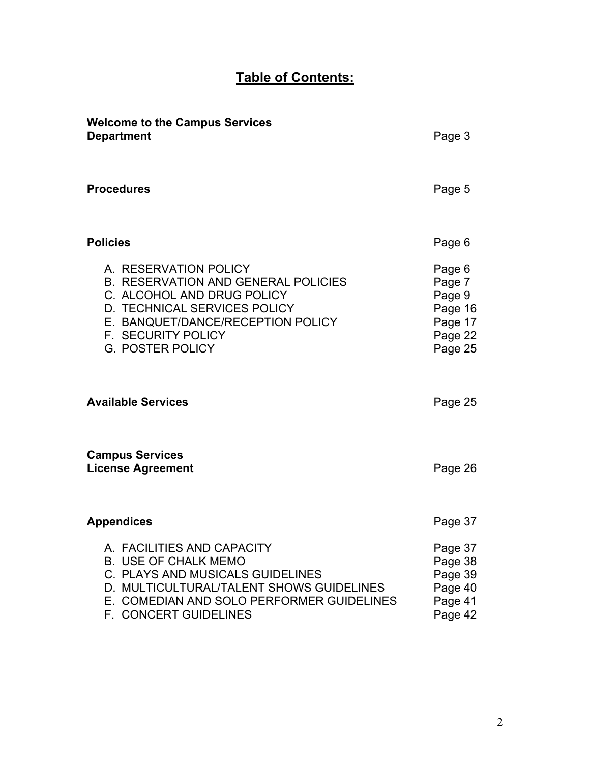# **Table of Contents:**

| <b>Welcome to the Campus Services</b><br><b>Department</b>                                                                                                                                                                     | Page 3                                                                 |
|--------------------------------------------------------------------------------------------------------------------------------------------------------------------------------------------------------------------------------|------------------------------------------------------------------------|
| <b>Procedures</b>                                                                                                                                                                                                              | Page 5                                                                 |
| <b>Policies</b>                                                                                                                                                                                                                | Page 6                                                                 |
| A. RESERVATION POLICY<br><b>B. RESERVATION AND GENERAL POLICIES</b><br>C. ALCOHOL AND DRUG POLICY<br>D. TECHNICAL SERVICES POLICY<br>E. BANQUET/DANCE/RECEPTION POLICY<br><b>F. SECURITY POLICY</b><br><b>G. POSTER POLICY</b> | Page 6<br>Page 7<br>Page 9<br>Page 16<br>Page 17<br>Page 22<br>Page 25 |
| <b>Available Services</b>                                                                                                                                                                                                      | Page 25                                                                |
| <b>Campus Services</b><br><b>License Agreement</b>                                                                                                                                                                             | Page 26                                                                |
| <b>Appendices</b>                                                                                                                                                                                                              | Page 37                                                                |
| A. FACILITIES AND CAPACITY<br><b>B. USE OF CHALK MEMO</b><br>C. PLAYS AND MUSICALS GUIDELINES<br>D. MULTICULTURAL/TALENT SHOWS GUIDELINES<br>E. COMEDIAN AND SOLO PERFORMER GUIDELINES<br>F. CONCERT GUIDELINES                | Page 37<br>Page 38<br>Page 39<br>Page 40<br>Page 41<br>Page 42         |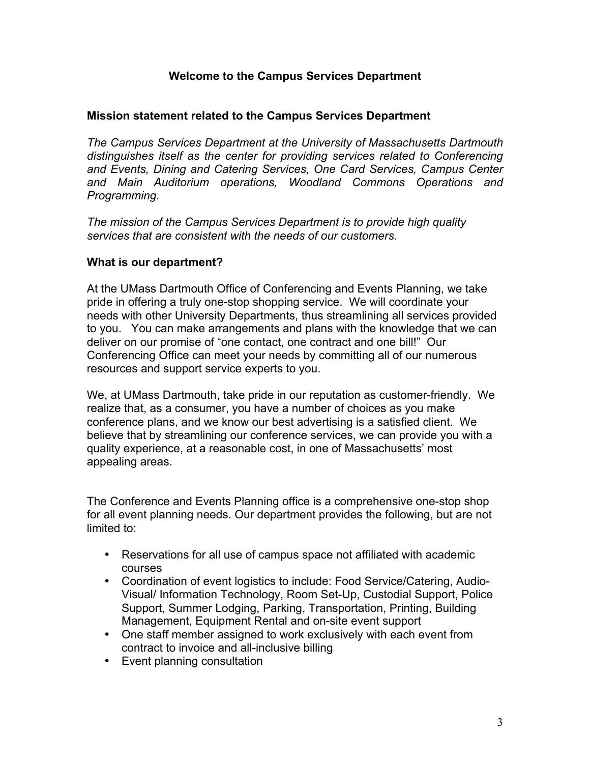#### **Welcome to the Campus Services Department**

#### **Mission statement related to the Campus Services Department**

*The Campus Services Department at the University of Massachusetts Dartmouth distinguishes itself as the center for providing services related to Conferencing and Events, Dining and Catering Services, One Card Services, Campus Center and Main Auditorium operations, Woodland Commons Operations and Programming.*

*The mission of the Campus Services Department is to provide high quality services that are consistent with the needs of our customers.*

#### **What is our department?**

At the UMass Dartmouth Office of Conferencing and Events Planning, we take pride in offering a truly one-stop shopping service. We will coordinate your needs with other University Departments, thus streamlining all services provided to you. You can make arrangements and plans with the knowledge that we can deliver on our promise of "one contact, one contract and one bill!" Our Conferencing Office can meet your needs by committing all of our numerous resources and support service experts to you.

We, at UMass Dartmouth, take pride in our reputation as customer-friendly. We realize that, as a consumer, you have a number of choices as you make conference plans, and we know our best advertising is a satisfied client. We believe that by streamlining our conference services, we can provide you with a quality experience, at a reasonable cost, in one of Massachusetts' most appealing areas.

The Conference and Events Planning office is a comprehensive one-stop shop for all event planning needs. Our department provides the following, but are not limited to:

- Reservations for all use of campus space not affiliated with academic courses
- Coordination of event logistics to include: Food Service/Catering, Audio-Visual/ Information Technology, Room Set-Up, Custodial Support, Police Support, Summer Lodging, Parking, Transportation, Printing, Building Management, Equipment Rental and on-site event support
- One staff member assigned to work exclusively with each event from contract to invoice and all-inclusive billing
- Event planning consultation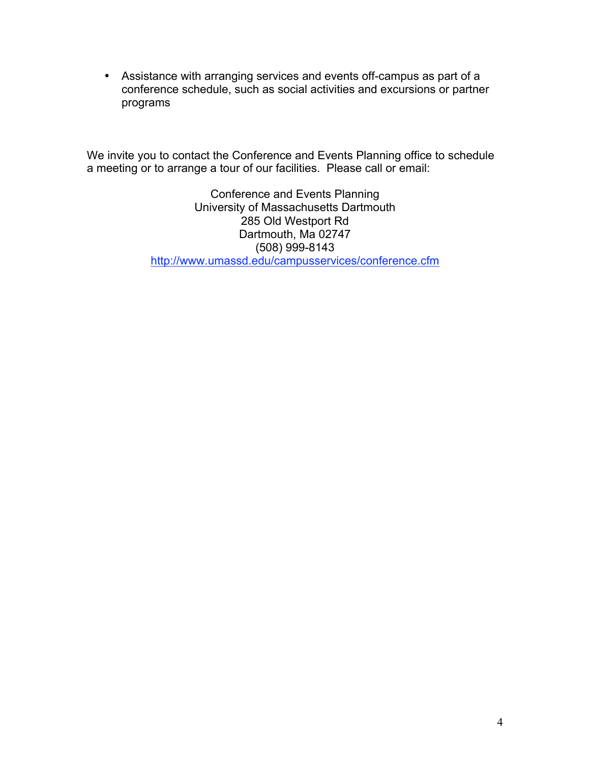• Assistance with arranging services and events off-campus as part of a conference schedule, such as social activities and excursions or partner programs

We invite you to contact the Conference and Events Planning office to schedule a meeting or to arrange a tour of our facilities. Please call or email:

> Conference and Events Planning University of Massachusetts Dartmouth 285 Old Westport Rd Dartmouth, Ma 02747 (508) 999-8143 http://www.umassd.edu/campusservices/conference.cfm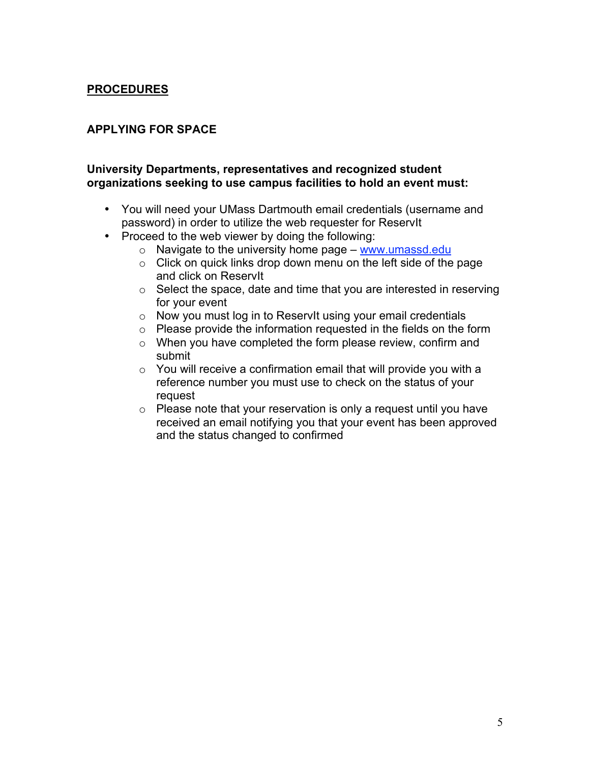# **PROCEDURES**

## **APPLYING FOR SPACE**

#### **University Departments, representatives and recognized student organizations seeking to use campus facilities to hold an event must:**

- You will need your UMass Dartmouth email credentials (username and password) in order to utilize the web requester for ReservIt
- Proceed to the web viewer by doing the following:
	- $\circ$  Navigate to the university home page www.umassd.edu
	- $\circ$  Click on quick links drop down menu on the left side of the page and click on ReservIt
	- $\circ$  Select the space, date and time that you are interested in reserving for your event
	- o Now you must log in to ReservIt using your email credentials
	- o Please provide the information requested in the fields on the form
	- o When you have completed the form please review, confirm and submit
	- $\circ$  You will receive a confirmation email that will provide you with a reference number you must use to check on the status of your request
	- o Please note that your reservation is only a request until you have received an email notifying you that your event has been approved and the status changed to confirmed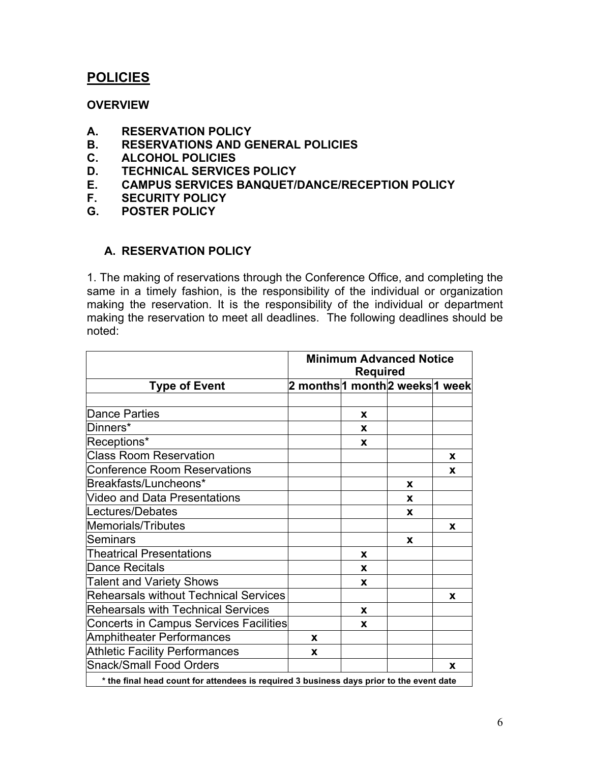# **POLICIES**

#### **OVERVIEW**

- **A. RESERVATION POLICY**
- **B. RESERVATIONS AND GENERAL POLICIES**
- **C. ALCOHOL POLICIES**
- **D. TECHNICAL SERVICES POLICY**
- **E. CAMPUS SERVICES BANQUET/DANCE/RECEPTION POLICY**
- **F. SECURITY POLICY**
- **G. POSTER POLICY**

## **A. RESERVATION POLICY**

1. The making of reservations through the Conference Office, and completing the same in a timely fashion, is the responsibility of the individual or organization making the reservation. It is the responsibility of the individual or department making the reservation to meet all deadlines. The following deadlines should be noted:

|                                                                                          | <b>Minimum Advanced Notice</b><br><b>Required</b> |   |   |   |
|------------------------------------------------------------------------------------------|---------------------------------------------------|---|---|---|
| <b>Type of Event</b>                                                                     | 2 months 1 month 2 weeks 1 week                   |   |   |   |
| Dance Parties                                                                            |                                                   | X |   |   |
| Dinners*                                                                                 |                                                   | X |   |   |
| Receptions*                                                                              |                                                   | X |   |   |
| <b>Class Room Reservation</b>                                                            |                                                   |   |   | X |
| <b>Conference Room Reservations</b>                                                      |                                                   |   |   | X |
| Breakfasts/Luncheons*                                                                    |                                                   |   | X |   |
| Video and Data Presentations                                                             |                                                   |   | X |   |
| Lectures/Debates                                                                         |                                                   |   | X |   |
| <b>Memorials/Tributes</b>                                                                |                                                   |   |   | X |
| Seminars                                                                                 |                                                   |   | X |   |
| <b>Theatrical Presentations</b>                                                          |                                                   | x |   |   |
| Dance Recitals                                                                           |                                                   | x |   |   |
| <b>Talent and Variety Shows</b>                                                          |                                                   | X |   |   |
| <b>Rehearsals without Technical Services</b>                                             |                                                   |   |   | X |
| <b>Rehearsals with Technical Services</b>                                                |                                                   | X |   |   |
| <b>Concerts in Campus Services Facilities</b>                                            |                                                   | X |   |   |
| <b>Amphitheater Performances</b>                                                         | X                                                 |   |   |   |
| <b>Athletic Facility Performances</b>                                                    | X                                                 |   |   |   |
| <b>Snack/Small Food Orders</b>                                                           |                                                   |   |   | X |
| * the final head count for attendees is required 3 business days prior to the event date |                                                   |   |   |   |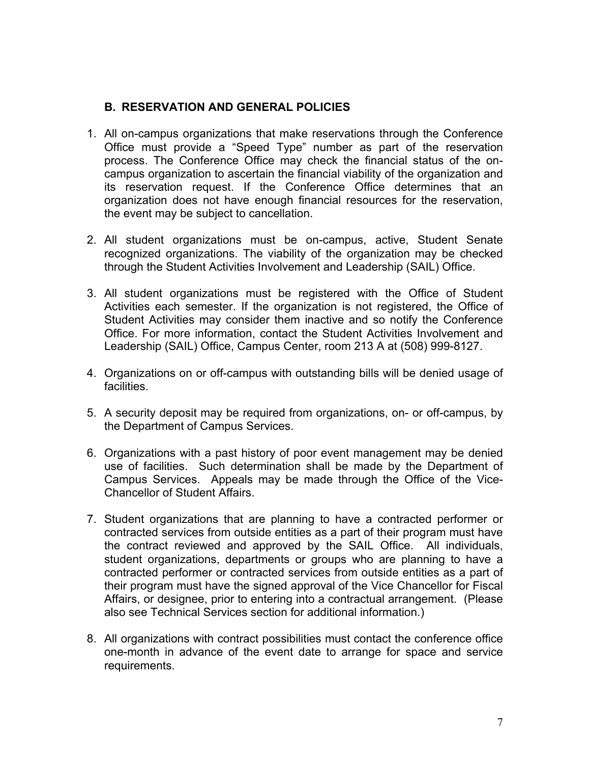## **B. RESERVATION AND GENERAL POLICIES**

- 1. All on-campus organizations that make reservations through the Conference Office must provide a "Speed Type" number as part of the reservation process. The Conference Office may check the financial status of the oncampus organization to ascertain the financial viability of the organization and its reservation request. If the Conference Office determines that an organization does not have enough financial resources for the reservation, the event may be subject to cancellation.
- 2. All student organizations must be on-campus, active, Student Senate recognized organizations. The viability of the organization may be checked through the Student Activities Involvement and Leadership (SAIL) Office.
- 3. All student organizations must be registered with the Office of Student Activities each semester. If the organization is not registered, the Office of Student Activities may consider them inactive and so notify the Conference Office. For more information, contact the Student Activities Involvement and Leadership (SAIL) Office, Campus Center, room 213 A at (508) 999-8127.
- 4. Organizations on or off-campus with outstanding bills will be denied usage of **facilities**
- 5. A security deposit may be required from organizations, on- or off-campus, by the Department of Campus Services.
- 6. Organizations with a past history of poor event management may be denied use of facilities. Such determination shall be made by the Department of Campus Services. Appeals may be made through the Office of the Vice-Chancellor of Student Affairs.
- 7. Student organizations that are planning to have a contracted performer or contracted services from outside entities as a part of their program must have the contract reviewed and approved by the SAIL Office. All individuals, student organizations, departments or groups who are planning to have a contracted performer or contracted services from outside entities as a part of their program must have the signed approval of the Vice Chancellor for Fiscal Affairs, or designee, prior to entering into a contractual arrangement. (Please also see Technical Services section for additional information.)
- 8. All organizations with contract possibilities must contact the conference office one-month in advance of the event date to arrange for space and service requirements.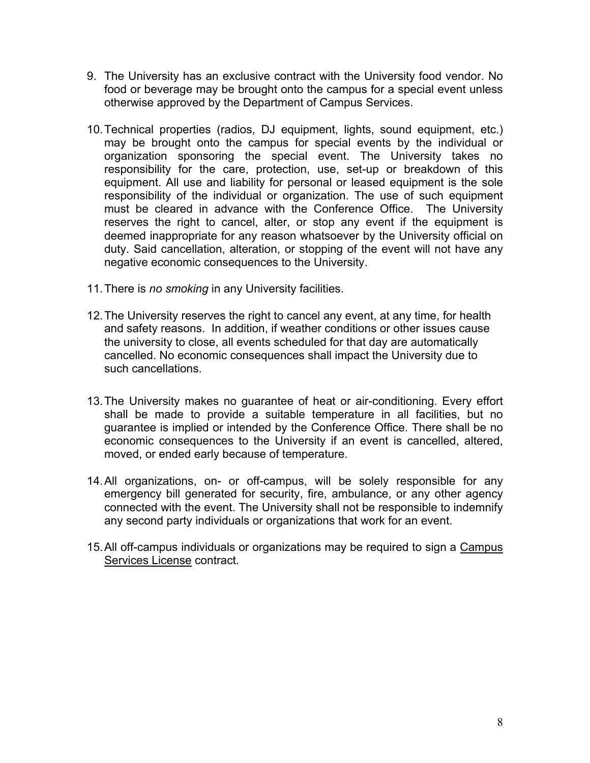- 9. The University has an exclusive contract with the University food vendor. No food or beverage may be brought onto the campus for a special event unless otherwise approved by the Department of Campus Services.
- 10.Technical properties (radios, DJ equipment, lights, sound equipment, etc.) may be brought onto the campus for special events by the individual or organization sponsoring the special event. The University takes no responsibility for the care, protection, use, set-up or breakdown of this equipment. All use and liability for personal or leased equipment is the sole responsibility of the individual or organization. The use of such equipment must be cleared in advance with the Conference Office. The University reserves the right to cancel, alter, or stop any event if the equipment is deemed inappropriate for any reason whatsoever by the University official on duty. Said cancellation, alteration, or stopping of the event will not have any negative economic consequences to the University.
- 11.There is *no smoking* in any University facilities.
- 12.The University reserves the right to cancel any event, at any time, for health and safety reasons. In addition, if weather conditions or other issues cause the university to close, all events scheduled for that day are automatically cancelled. No economic consequences shall impact the University due to such cancellations.
- 13.The University makes no guarantee of heat or air-conditioning. Every effort shall be made to provide a suitable temperature in all facilities, but no guarantee is implied or intended by the Conference Office. There shall be no economic consequences to the University if an event is cancelled, altered, moved, or ended early because of temperature.
- 14.All organizations, on- or off-campus, will be solely responsible for any emergency bill generated for security, fire, ambulance, or any other agency connected with the event. The University shall not be responsible to indemnify any second party individuals or organizations that work for an event.
- 15.All off-campus individuals or organizations may be required to sign a Campus Services License contract.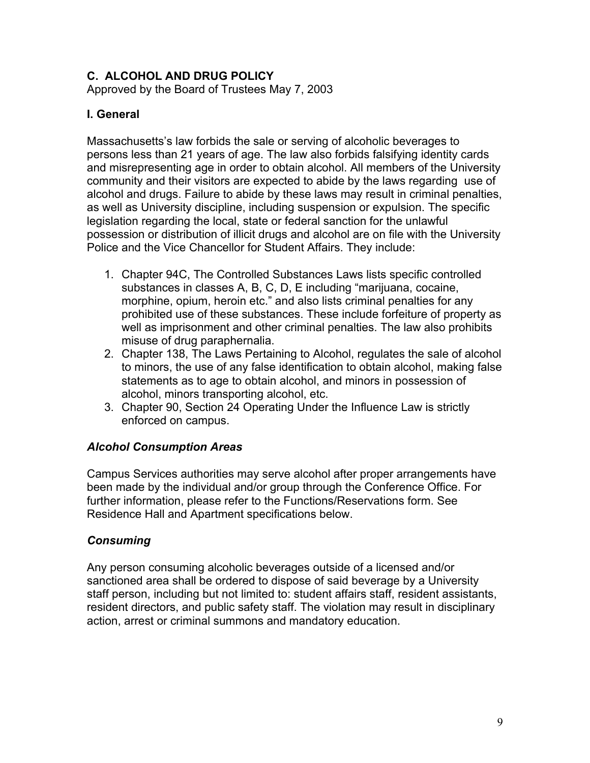# **C. ALCOHOL AND DRUG POLICY**

Approved by the Board of Trustees May 7, 2003

#### **I. General**

Massachusetts's law forbids the sale or serving of alcoholic beverages to persons less than 21 years of age. The law also forbids falsifying identity cards and misrepresenting age in order to obtain alcohol. All members of the University community and their visitors are expected to abide by the laws regarding use of alcohol and drugs. Failure to abide by these laws may result in criminal penalties, as well as University discipline, including suspension or expulsion. The specific legislation regarding the local, state or federal sanction for the unlawful possession or distribution of illicit drugs and alcohol are on file with the University Police and the Vice Chancellor for Student Affairs. They include:

- 1. Chapter 94C, The Controlled Substances Laws lists specific controlled substances in classes A, B, C, D, E including "marijuana, cocaine, morphine, opium, heroin etc." and also lists criminal penalties for any prohibited use of these substances. These include forfeiture of property as well as imprisonment and other criminal penalties. The law also prohibits misuse of drug paraphernalia.
- 2. Chapter 138, The Laws Pertaining to Alcohol, regulates the sale of alcohol to minors, the use of any false identification to obtain alcohol, making false statements as to age to obtain alcohol, and minors in possession of alcohol, minors transporting alcohol, etc.
- 3. Chapter 90, Section 24 Operating Under the Influence Law is strictly enforced on campus.

#### *Alcohol Consumption Areas*

Campus Services authorities may serve alcohol after proper arrangements have been made by the individual and/or group through the Conference Office. For further information, please refer to the Functions/Reservations form. See Residence Hall and Apartment specifications below.

## *Consuming*

Any person consuming alcoholic beverages outside of a licensed and/or sanctioned area shall be ordered to dispose of said beverage by a University staff person, including but not limited to: student affairs staff, resident assistants, resident directors, and public safety staff. The violation may result in disciplinary action, arrest or criminal summons and mandatory education.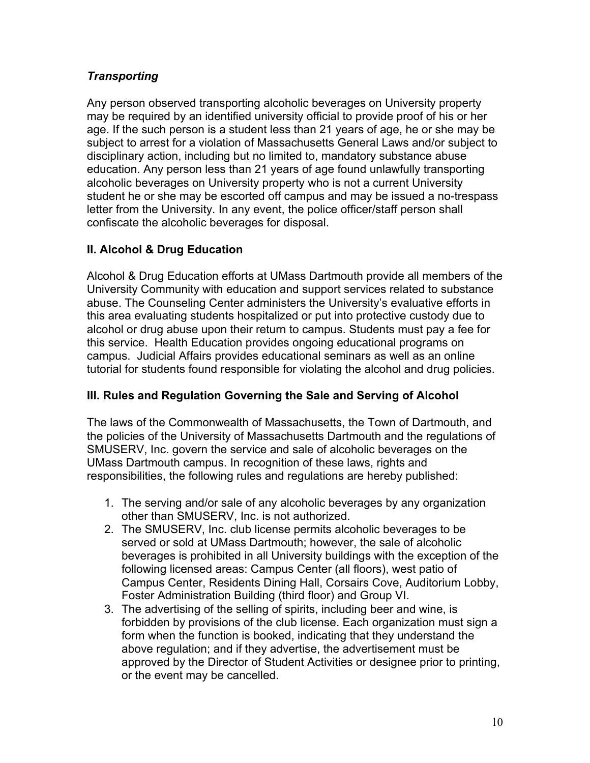# *Transporting*

Any person observed transporting alcoholic beverages on University property may be required by an identified university official to provide proof of his or her age. If the such person is a student less than 21 years of age, he or she may be subject to arrest for a violation of Massachusetts General Laws and/or subject to disciplinary action, including but no limited to, mandatory substance abuse education. Any person less than 21 years of age found unlawfully transporting alcoholic beverages on University property who is not a current University student he or she may be escorted off campus and may be issued a no-trespass letter from the University. In any event, the police officer/staff person shall confiscate the alcoholic beverages for disposal.

# **II. Alcohol & Drug Education**

Alcohol & Drug Education efforts at UMass Dartmouth provide all members of the University Community with education and support services related to substance abuse. The Counseling Center administers the University's evaluative efforts in this area evaluating students hospitalized or put into protective custody due to alcohol or drug abuse upon their return to campus. Students must pay a fee for this service. Health Education provides ongoing educational programs on campus. Judicial Affairs provides educational seminars as well as an online tutorial for students found responsible for violating the alcohol and drug policies.

## **III. Rules and Regulation Governing the Sale and Serving of Alcohol**

The laws of the Commonwealth of Massachusetts, the Town of Dartmouth, and the policies of the University of Massachusetts Dartmouth and the regulations of SMUSERV, Inc. govern the service and sale of alcoholic beverages on the UMass Dartmouth campus. In recognition of these laws, rights and responsibilities, the following rules and regulations are hereby published:

- 1. The serving and/or sale of any alcoholic beverages by any organization other than SMUSERV, Inc. is not authorized.
- 2. The SMUSERV, Inc. club license permits alcoholic beverages to be served or sold at UMass Dartmouth; however, the sale of alcoholic beverages is prohibited in all University buildings with the exception of the following licensed areas: Campus Center (all floors), west patio of Campus Center, Residents Dining Hall, Corsairs Cove, Auditorium Lobby, Foster Administration Building (third floor) and Group VI.
- 3. The advertising of the selling of spirits, including beer and wine, is forbidden by provisions of the club license. Each organization must sign a form when the function is booked, indicating that they understand the above regulation; and if they advertise, the advertisement must be approved by the Director of Student Activities or designee prior to printing, or the event may be cancelled.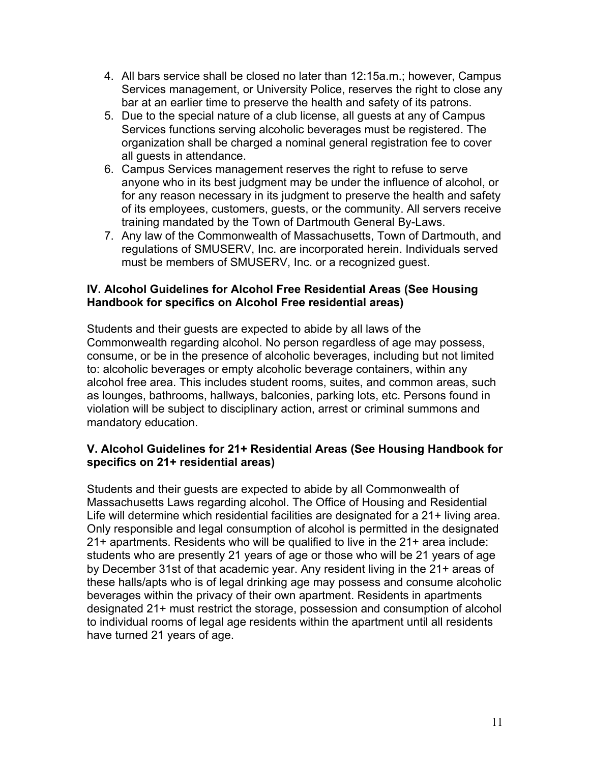- 4. All bars service shall be closed no later than 12:15a.m.; however, Campus Services management, or University Police, reserves the right to close any bar at an earlier time to preserve the health and safety of its patrons.
- 5. Due to the special nature of a club license, all guests at any of Campus Services functions serving alcoholic beverages must be registered. The organization shall be charged a nominal general registration fee to cover all guests in attendance.
- 6. Campus Services management reserves the right to refuse to serve anyone who in its best judgment may be under the influence of alcohol, or for any reason necessary in its judgment to preserve the health and safety of its employees, customers, guests, or the community. All servers receive training mandated by the Town of Dartmouth General By-Laws.
- 7. Any law of the Commonwealth of Massachusetts, Town of Dartmouth, and regulations of SMUSERV, Inc. are incorporated herein. Individuals served must be members of SMUSERV, Inc. or a recognized guest.

#### **IV. Alcohol Guidelines for Alcohol Free Residential Areas (See Housing Handbook for specifics on Alcohol Free residential areas)**

Students and their guests are expected to abide by all laws of the Commonwealth regarding alcohol. No person regardless of age may possess, consume, or be in the presence of alcoholic beverages, including but not limited to: alcoholic beverages or empty alcoholic beverage containers, within any alcohol free area. This includes student rooms, suites, and common areas, such as lounges, bathrooms, hallways, balconies, parking lots, etc. Persons found in violation will be subject to disciplinary action, arrest or criminal summons and mandatory education.

#### **V. Alcohol Guidelines for 21+ Residential Areas (See Housing Handbook for specifics on 21+ residential areas)**

Students and their guests are expected to abide by all Commonwealth of Massachusetts Laws regarding alcohol. The Office of Housing and Residential Life will determine which residential facilities are designated for a 21+ living area. Only responsible and legal consumption of alcohol is permitted in the designated 21+ apartments. Residents who will be qualified to live in the 21+ area include: students who are presently 21 years of age or those who will be 21 years of age by December 31st of that academic year. Any resident living in the 21+ areas of these halls/apts who is of legal drinking age may possess and consume alcoholic beverages within the privacy of their own apartment. Residents in apartments designated 21+ must restrict the storage, possession and consumption of alcohol to individual rooms of legal age residents within the apartment until all residents have turned 21 years of age.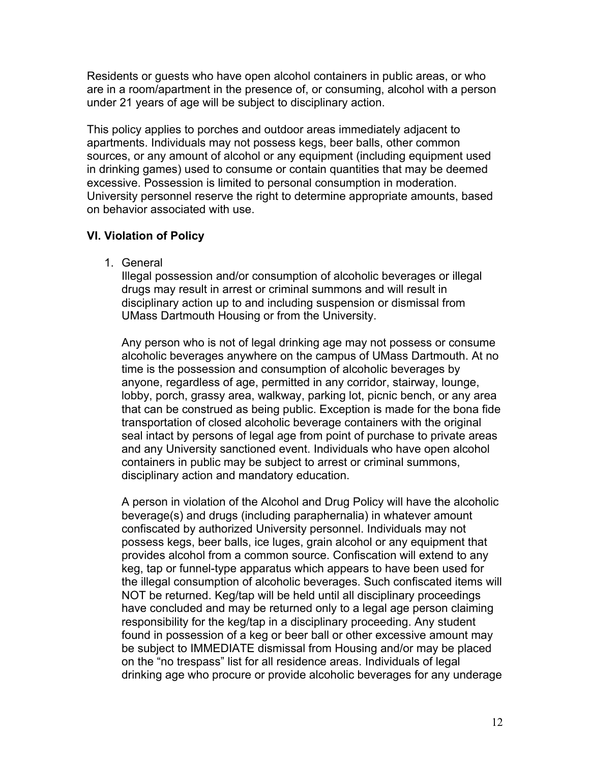Residents or guests who have open alcohol containers in public areas, or who are in a room/apartment in the presence of, or consuming, alcohol with a person under 21 years of age will be subject to disciplinary action.

This policy applies to porches and outdoor areas immediately adjacent to apartments. Individuals may not possess kegs, beer balls, other common sources, or any amount of alcohol or any equipment (including equipment used in drinking games) used to consume or contain quantities that may be deemed excessive. Possession is limited to personal consumption in moderation. University personnel reserve the right to determine appropriate amounts, based on behavior associated with use.

## **VI. Violation of Policy**

1. General

Illegal possession and/or consumption of alcoholic beverages or illegal drugs may result in arrest or criminal summons and will result in disciplinary action up to and including suspension or dismissal from UMass Dartmouth Housing or from the University.

Any person who is not of legal drinking age may not possess or consume alcoholic beverages anywhere on the campus of UMass Dartmouth. At no time is the possession and consumption of alcoholic beverages by anyone, regardless of age, permitted in any corridor, stairway, lounge, lobby, porch, grassy area, walkway, parking lot, picnic bench, or any area that can be construed as being public. Exception is made for the bona fide transportation of closed alcoholic beverage containers with the original seal intact by persons of legal age from point of purchase to private areas and any University sanctioned event. Individuals who have open alcohol containers in public may be subject to arrest or criminal summons, disciplinary action and mandatory education.

A person in violation of the Alcohol and Drug Policy will have the alcoholic beverage(s) and drugs (including paraphernalia) in whatever amount confiscated by authorized University personnel. Individuals may not possess kegs, beer balls, ice luges, grain alcohol or any equipment that provides alcohol from a common source. Confiscation will extend to any keg, tap or funnel-type apparatus which appears to have been used for the illegal consumption of alcoholic beverages. Such confiscated items will NOT be returned. Keg/tap will be held until all disciplinary proceedings have concluded and may be returned only to a legal age person claiming responsibility for the keg/tap in a disciplinary proceeding. Any student found in possession of a keg or beer ball or other excessive amount may be subject to IMMEDIATE dismissal from Housing and/or may be placed on the "no trespass" list for all residence areas. Individuals of legal drinking age who procure or provide alcoholic beverages for any underage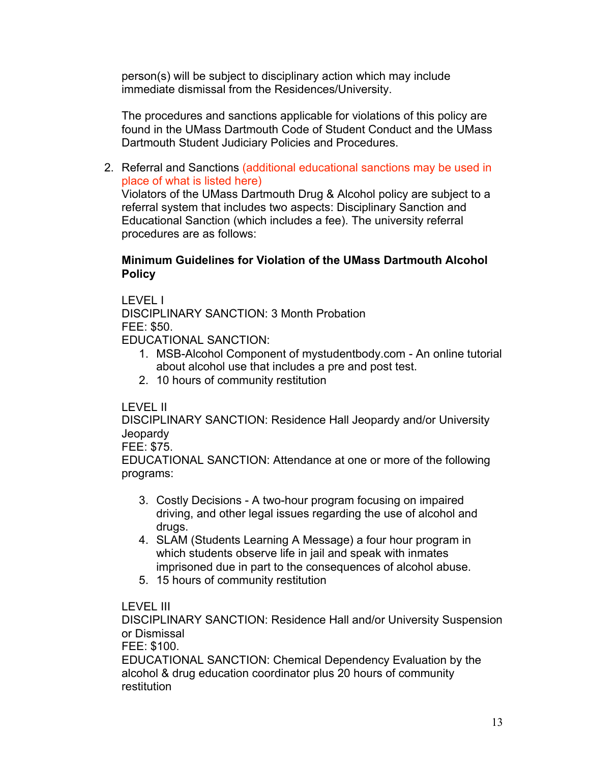person(s) will be subject to disciplinary action which may include immediate dismissal from the Residences/University.

The procedures and sanctions applicable for violations of this policy are found in the UMass Dartmouth Code of Student Conduct and the UMass Dartmouth Student Judiciary Policies and Procedures.

2. Referral and Sanctions (additional educational sanctions may be used in place of what is listed here)

Violators of the UMass Dartmouth Drug & Alcohol policy are subject to a referral system that includes two aspects: Disciplinary Sanction and Educational Sanction (which includes a fee). The university referral procedures are as follows:

#### **Minimum Guidelines for Violation of the UMass Dartmouth Alcohol Policy**

LEVEL I

DISCIPLINARY SANCTION: 3 Month Probation FEE: \$50.

EDUCATIONAL SANCTION:

- 1. MSB-Alcohol Component of mystudentbody.com An online tutorial about alcohol use that includes a pre and post test.
- 2. 10 hours of community restitution

## LEVEL II

DISCIPLINARY SANCTION: Residence Hall Jeopardy and/or University **Jeopardy** 

#### FEE: \$75.

EDUCATIONAL SANCTION: Attendance at one or more of the following programs:

- 3. Costly Decisions A two-hour program focusing on impaired driving, and other legal issues regarding the use of alcohol and drugs.
- 4. SLAM (Students Learning A Message) a four hour program in which students observe life in jail and speak with inmates imprisoned due in part to the consequences of alcohol abuse.
- 5. 15 hours of community restitution

## LEVEL III

DISCIPLINARY SANCTION: Residence Hall and/or University Suspension or Dismissal

FEE: \$100.

EDUCATIONAL SANCTION: Chemical Dependency Evaluation by the alcohol & drug education coordinator plus 20 hours of community restitution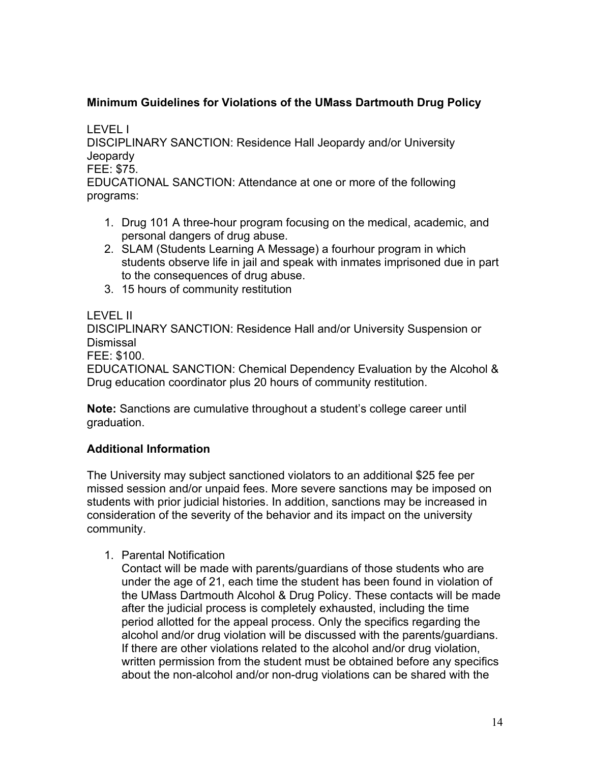# **Minimum Guidelines for Violations of the UMass Dartmouth Drug Policy**

LEVEL I

DISCIPLINARY SANCTION: Residence Hall Jeopardy and/or University **Jeopardy** 

FEE: \$75.

EDUCATIONAL SANCTION: Attendance at one or more of the following programs:

- 1. Drug 101 A three-hour program focusing on the medical, academic, and personal dangers of drug abuse.
- 2. SLAM (Students Learning A Message) a fourhour program in which students observe life in jail and speak with inmates imprisoned due in part to the consequences of drug abuse.
- 3. 15 hours of community restitution

## LEVEL II

DISCIPLINARY SANCTION: Residence Hall and/or University Suspension or Dismissal

FEE: \$100.

EDUCATIONAL SANCTION: Chemical Dependency Evaluation by the Alcohol & Drug education coordinator plus 20 hours of community restitution.

**Note:** Sanctions are cumulative throughout a student's college career until graduation.

# **Additional Information**

The University may subject sanctioned violators to an additional \$25 fee per missed session and/or unpaid fees. More severe sanctions may be imposed on students with prior judicial histories. In addition, sanctions may be increased in consideration of the severity of the behavior and its impact on the university community.

1. Parental Notification

Contact will be made with parents/guardians of those students who are under the age of 21, each time the student has been found in violation of the UMass Dartmouth Alcohol & Drug Policy. These contacts will be made after the judicial process is completely exhausted, including the time period allotted for the appeal process. Only the specifics regarding the alcohol and/or drug violation will be discussed with the parents/guardians. If there are other violations related to the alcohol and/or drug violation, written permission from the student must be obtained before any specifics about the non-alcohol and/or non-drug violations can be shared with the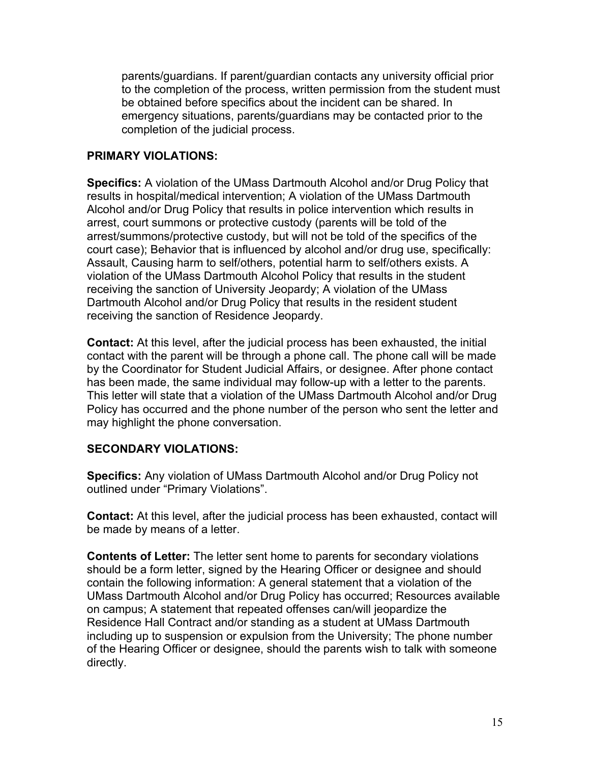parents/guardians. If parent/guardian contacts any university official prior to the completion of the process, written permission from the student must be obtained before specifics about the incident can be shared. In emergency situations, parents/guardians may be contacted prior to the completion of the judicial process.

#### **PRIMARY VIOLATIONS:**

**Specifics:** A violation of the UMass Dartmouth Alcohol and/or Drug Policy that results in hospital/medical intervention; A violation of the UMass Dartmouth Alcohol and/or Drug Policy that results in police intervention which results in arrest, court summons or protective custody (parents will be told of the arrest/summons/protective custody, but will not be told of the specifics of the court case); Behavior that is influenced by alcohol and/or drug use, specifically: Assault, Causing harm to self/others, potential harm to self/others exists. A violation of the UMass Dartmouth Alcohol Policy that results in the student receiving the sanction of University Jeopardy; A violation of the UMass Dartmouth Alcohol and/or Drug Policy that results in the resident student receiving the sanction of Residence Jeopardy.

**Contact:** At this level, after the judicial process has been exhausted, the initial contact with the parent will be through a phone call. The phone call will be made by the Coordinator for Student Judicial Affairs, or designee. After phone contact has been made, the same individual may follow-up with a letter to the parents. This letter will state that a violation of the UMass Dartmouth Alcohol and/or Drug Policy has occurred and the phone number of the person who sent the letter and may highlight the phone conversation.

## **SECONDARY VIOLATIONS:**

**Specifics:** Any violation of UMass Dartmouth Alcohol and/or Drug Policy not outlined under "Primary Violations".

**Contact:** At this level, after the judicial process has been exhausted, contact will be made by means of a letter.

**Contents of Letter:** The letter sent home to parents for secondary violations should be a form letter, signed by the Hearing Officer or designee and should contain the following information: A general statement that a violation of the UMass Dartmouth Alcohol and/or Drug Policy has occurred; Resources available on campus; A statement that repeated offenses can/will jeopardize the Residence Hall Contract and/or standing as a student at UMass Dartmouth including up to suspension or expulsion from the University; The phone number of the Hearing Officer or designee, should the parents wish to talk with someone directly.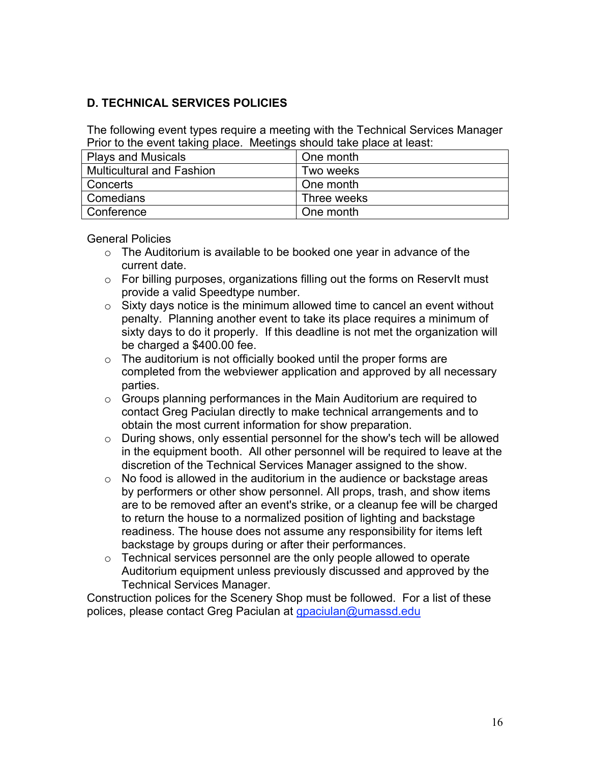# **D. TECHNICAL SERVICES POLICIES**

The following event types require a meeting with the Technical Services Manager Prior to the event taking place. Meetings should take place at least:

| <b>Plays and Musicals</b> | One month   |
|---------------------------|-------------|
| Multicultural and Fashion | Two weeks   |
| Concerts                  | One month   |
| Comedians                 | Three weeks |
| Conference                | One month   |

General Policies

- $\circ$  The Auditorium is available to be booked one year in advance of the current date.
- o For billing purposes, organizations filling out the forms on ReservIt must provide a valid Speedtype number.
- $\circ$  Sixty days notice is the minimum allowed time to cancel an event without penalty. Planning another event to take its place requires a minimum of sixty days to do it properly. If this deadline is not met the organization will be charged a \$400.00 fee.
- $\circ$  The auditorium is not officially booked until the proper forms are completed from the webviewer application and approved by all necessary parties.
- o Groups planning performances in the Main Auditorium are required to contact Greg Paciulan directly to make technical arrangements and to obtain the most current information for show preparation.
- o During shows, only essential personnel for the show's tech will be allowed in the equipment booth. All other personnel will be required to leave at the discretion of the Technical Services Manager assigned to the show.
- o No food is allowed in the auditorium in the audience or backstage areas by performers or other show personnel. All props, trash, and show items are to be removed after an event's strike, or a cleanup fee will be charged to return the house to a normalized position of lighting and backstage readiness. The house does not assume any responsibility for items left backstage by groups during or after their performances.
- $\circ$  Technical services personnel are the only people allowed to operate Auditorium equipment unless previously discussed and approved by the Technical Services Manager.

Construction polices for the Scenery Shop must be followed. For a list of these polices, please contact Greg Paciulan at gpaciulan@umassd.edu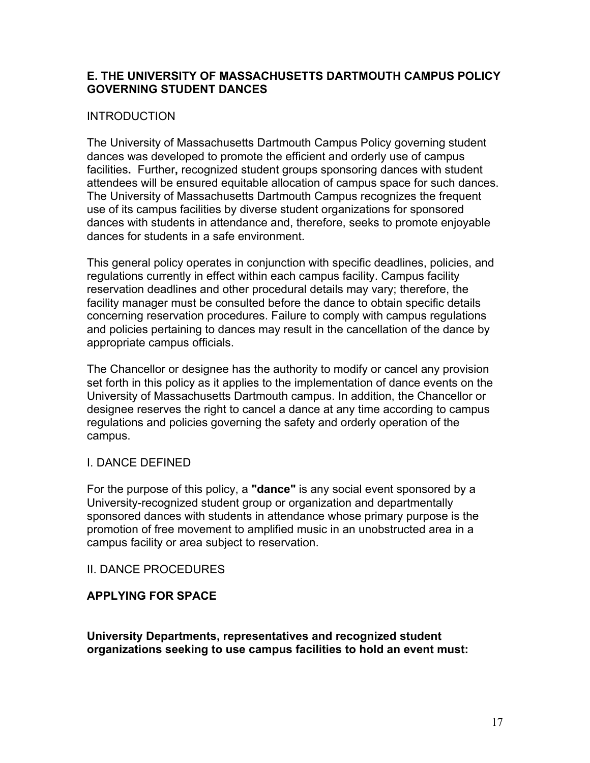#### **E. THE UNIVERSITY OF MASSACHUSETTS DARTMOUTH CAMPUS POLICY GOVERNING STUDENT DANCES**

#### **INTRODUCTION**

The University of Massachusetts Dartmouth Campus Policy governing student dances was developed to promote the efficient and orderly use of campus facilities**.** Further**,** recognized student groups sponsoring dances with student attendees will be ensured equitable allocation of campus space for such dances. The University of Massachusetts Dartmouth Campus recognizes the frequent use of its campus facilities by diverse student organizations for sponsored dances with students in attendance and, therefore, seeks to promote enjoyable dances for students in a safe environment.

This general policy operates in conjunction with specific deadlines, policies, and regulations currently in effect within each campus facility. Campus facility reservation deadlines and other procedural details may vary; therefore, the facility manager must be consulted before the dance to obtain specific details concerning reservation procedures. Failure to comply with campus regulations and policies pertaining to dances may result in the cancellation of the dance by appropriate campus officials.

The Chancellor or designee has the authority to modify or cancel any provision set forth in this policy as it applies to the implementation of dance events on the University of Massachusetts Dartmouth campus. In addition, the Chancellor or designee reserves the right to cancel a dance at any time according to campus regulations and policies governing the safety and orderly operation of the campus.

## I. DANCE DEFINED

For the purpose of this policy, a **"dance"** is any social event sponsored by a University-recognized student group or organization and departmentally sponsored dances with students in attendance whose primary purpose is the promotion of free movement to amplified music in an unobstructed area in a campus facility or area subject to reservation.

#### II. DANCE PROCEDURES

## **APPLYING FOR SPACE**

**University Departments, representatives and recognized student organizations seeking to use campus facilities to hold an event must:**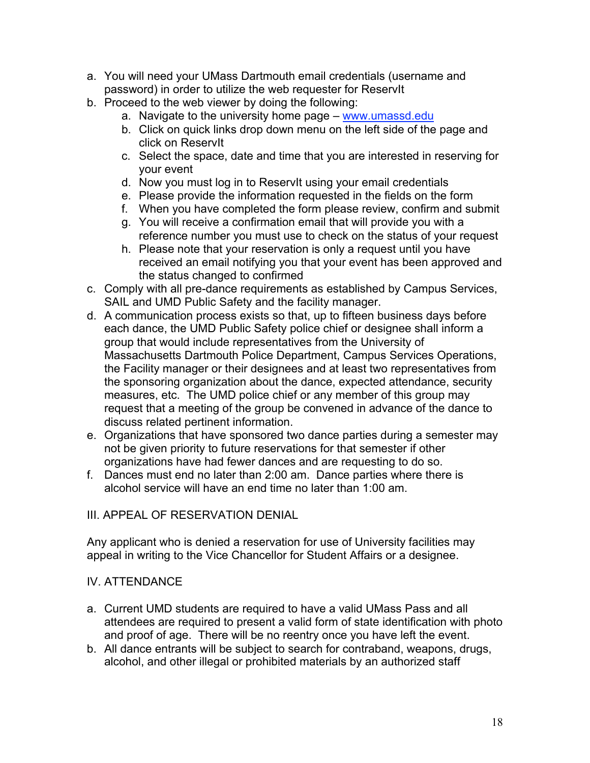- a. You will need your UMass Dartmouth email credentials (username and password) in order to utilize the web requester for ReservIt
- b. Proceed to the web viewer by doing the following:
	- a. Navigate to the university home page www.umassd.edu
	- b. Click on quick links drop down menu on the left side of the page and click on ReservIt
	- c. Select the space, date and time that you are interested in reserving for your event
	- d. Now you must log in to ReservIt using your email credentials
	- e. Please provide the information requested in the fields on the form
	- f. When you have completed the form please review, confirm and submit
	- g. You will receive a confirmation email that will provide you with a reference number you must use to check on the status of your request
	- h. Please note that your reservation is only a request until you have received an email notifying you that your event has been approved and the status changed to confirmed
- c. Comply with all pre-dance requirements as established by Campus Services, SAIL and UMD Public Safety and the facility manager.
- d. A communication process exists so that, up to fifteen business days before each dance, the UMD Public Safety police chief or designee shall inform a group that would include representatives from the University of Massachusetts Dartmouth Police Department, Campus Services Operations, the Facility manager or their designees and at least two representatives from the sponsoring organization about the dance, expected attendance, security measures, etc. The UMD police chief or any member of this group may request that a meeting of the group be convened in advance of the dance to discuss related pertinent information.
- e. Organizations that have sponsored two dance parties during a semester may not be given priority to future reservations for that semester if other organizations have had fewer dances and are requesting to do so.
- f. Dances must end no later than 2:00 am. Dance parties where there is alcohol service will have an end time no later than 1:00 am.

## III. APPEAL OF RESERVATION DENIAL

Any applicant who is denied a reservation for use of University facilities may appeal in writing to the Vice Chancellor for Student Affairs or a designee.

## IV. ATTENDANCE

- a. Current UMD students are required to have a valid UMass Pass and all attendees are required to present a valid form of state identification with photo and proof of age. There will be no reentry once you have left the event.
- b. All dance entrants will be subject to search for contraband, weapons, drugs, alcohol, and other illegal or prohibited materials by an authorized staff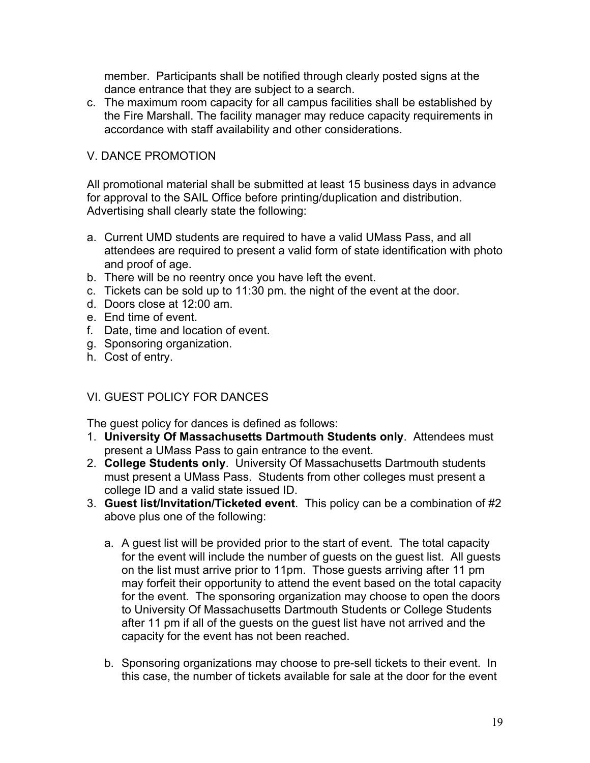member. Participants shall be notified through clearly posted signs at the dance entrance that they are subject to a search.

c. The maximum room capacity for all campus facilities shall be established by the Fire Marshall. The facility manager may reduce capacity requirements in accordance with staff availability and other considerations.

## V. DANCE PROMOTION

All promotional material shall be submitted at least 15 business days in advance for approval to the SAIL Office before printing/duplication and distribution. Advertising shall clearly state the following:

- a. Current UMD students are required to have a valid UMass Pass, and all attendees are required to present a valid form of state identification with photo and proof of age.
- b. There will be no reentry once you have left the event.
- c. Tickets can be sold up to 11:30 pm. the night of the event at the door.
- d. Doors close at 12:00 am.
- e. End time of event.
- f. Date, time and location of event.
- g. Sponsoring organization.
- h. Cost of entry.

## VI. GUEST POLICY FOR DANCES

The guest policy for dances is defined as follows:

- 1. **University Of Massachusetts Dartmouth Students only**. Attendees must present a UMass Pass to gain entrance to the event.
- 2. **College Students only**. University Of Massachusetts Dartmouth students must present a UMass Pass. Students from other colleges must present a college ID and a valid state issued ID.
- 3. **Guest list/Invitation/Ticketed event**. This policy can be a combination of #2 above plus one of the following:
	- a. A guest list will be provided prior to the start of event. The total capacity for the event will include the number of guests on the guest list. All guests on the list must arrive prior to 11pm. Those guests arriving after 11 pm may forfeit their opportunity to attend the event based on the total capacity for the event. The sponsoring organization may choose to open the doors to University Of Massachusetts Dartmouth Students or College Students after 11 pm if all of the guests on the guest list have not arrived and the capacity for the event has not been reached.
	- b. Sponsoring organizations may choose to pre-sell tickets to their event. In this case, the number of tickets available for sale at the door for the event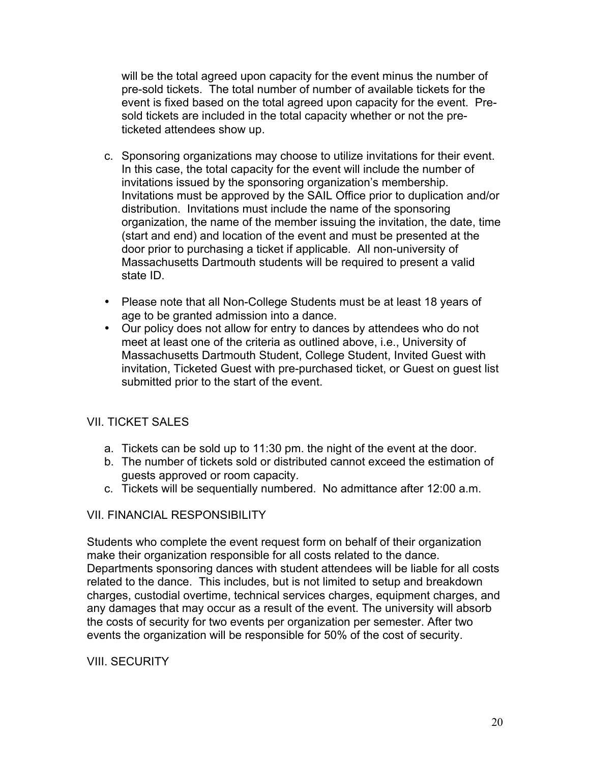will be the total agreed upon capacity for the event minus the number of pre-sold tickets. The total number of number of available tickets for the event is fixed based on the total agreed upon capacity for the event. Presold tickets are included in the total capacity whether or not the preticketed attendees show up.

- c. Sponsoring organizations may choose to utilize invitations for their event. In this case, the total capacity for the event will include the number of invitations issued by the sponsoring organization's membership. Invitations must be approved by the SAIL Office prior to duplication and/or distribution. Invitations must include the name of the sponsoring organization, the name of the member issuing the invitation, the date, time (start and end) and location of the event and must be presented at the door prior to purchasing a ticket if applicable. All non-university of Massachusetts Dartmouth students will be required to present a valid state ID.
- Please note that all Non-College Students must be at least 18 years of age to be granted admission into a dance.
- Our policy does not allow for entry to dances by attendees who do not meet at least one of the criteria as outlined above, i.e., University of Massachusetts Dartmouth Student, College Student, Invited Guest with invitation, Ticketed Guest with pre-purchased ticket, or Guest on guest list submitted prior to the start of the event.

## VII. TICKET SALES

- a. Tickets can be sold up to 11:30 pm. the night of the event at the door.
- b. The number of tickets sold or distributed cannot exceed the estimation of guests approved or room capacity.
- c. Tickets will be sequentially numbered. No admittance after 12:00 a.m.

## VII. FINANCIAL RESPONSIBILITY

Students who complete the event request form on behalf of their organization make their organization responsible for all costs related to the dance. Departments sponsoring dances with student attendees will be liable for all costs related to the dance. This includes, but is not limited to setup and breakdown charges, custodial overtime, technical services charges, equipment charges, and any damages that may occur as a result of the event. The university will absorb the costs of security for two events per organization per semester. After two events the organization will be responsible for 50% of the cost of security.

## VIII. SECURITY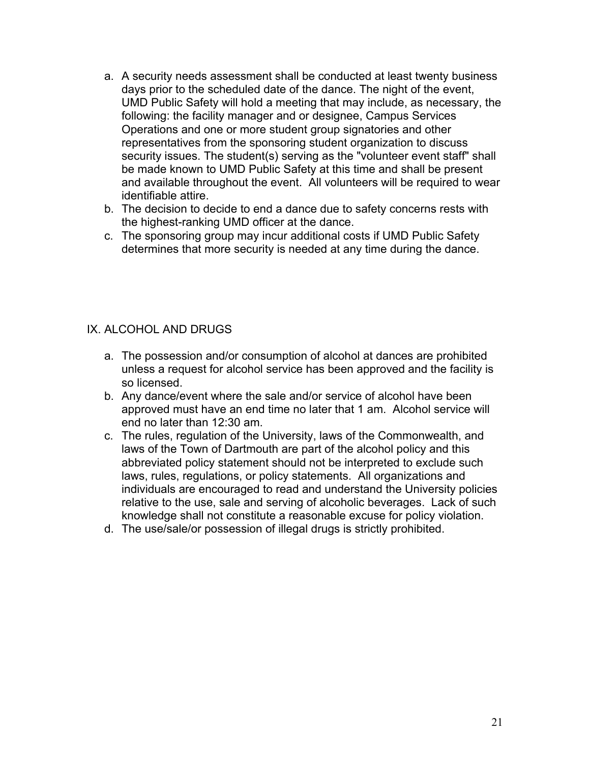- a. A security needs assessment shall be conducted at least twenty business days prior to the scheduled date of the dance. The night of the event, UMD Public Safety will hold a meeting that may include, as necessary, the following: the facility manager and or designee, Campus Services Operations and one or more student group signatories and other representatives from the sponsoring student organization to discuss security issues. The student(s) serving as the "volunteer event staff" shall be made known to UMD Public Safety at this time and shall be present and available throughout the event. All volunteers will be required to wear identifiable attire.
- b. The decision to decide to end a dance due to safety concerns rests with the highest-ranking UMD officer at the dance.
- c. The sponsoring group may incur additional costs if UMD Public Safety determines that more security is needed at any time during the dance.

## IX. ALCOHOL AND DRUGS

- a. The possession and/or consumption of alcohol at dances are prohibited unless a request for alcohol service has been approved and the facility is so licensed.
- b. Any dance/event where the sale and/or service of alcohol have been approved must have an end time no later that 1 am. Alcohol service will end no later than 12:30 am.
- c. The rules, regulation of the University, laws of the Commonwealth, and laws of the Town of Dartmouth are part of the alcohol policy and this abbreviated policy statement should not be interpreted to exclude such laws, rules, regulations, or policy statements. All organizations and individuals are encouraged to read and understand the University policies relative to the use, sale and serving of alcoholic beverages. Lack of such knowledge shall not constitute a reasonable excuse for policy violation.
- d. The use/sale/or possession of illegal drugs is strictly prohibited.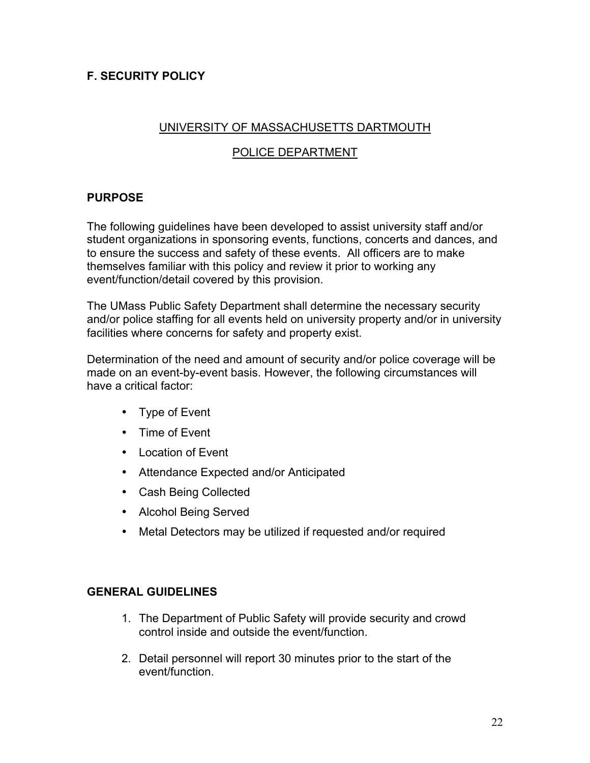# **F. SECURITY POLICY**

#### UNIVERSITY OF MASSACHUSETTS DARTMOUTH

## POLICE DEPARTMENT

# **PURPOSE**

The following guidelines have been developed to assist university staff and/or student organizations in sponsoring events, functions, concerts and dances, and to ensure the success and safety of these events. All officers are to make themselves familiar with this policy and review it prior to working any event/function/detail covered by this provision.

The UMass Public Safety Department shall determine the necessary security and/or police staffing for all events held on university property and/or in university facilities where concerns for safety and property exist.

Determination of the need and amount of security and/or police coverage will be made on an event-by-event basis. However, the following circumstances will have a critical factor:

- Type of Event
- Time of Event
- Location of Event
- Attendance Expected and/or Anticipated
- Cash Being Collected
- Alcohol Being Served
- Metal Detectors may be utilized if requested and/or required

#### **GENERAL GUIDELINES**

- 1. The Department of Public Safety will provide security and crowd control inside and outside the event/function.
- 2. Detail personnel will report 30 minutes prior to the start of the event/function.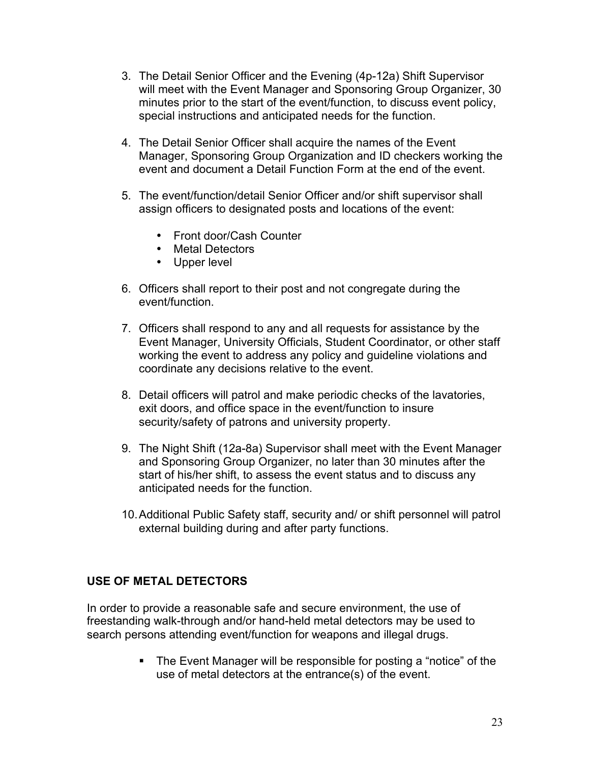- 3. The Detail Senior Officer and the Evening (4p-12a) Shift Supervisor will meet with the Event Manager and Sponsoring Group Organizer, 30 minutes prior to the start of the event/function, to discuss event policy, special instructions and anticipated needs for the function.
- 4. The Detail Senior Officer shall acquire the names of the Event Manager, Sponsoring Group Organization and ID checkers working the event and document a Detail Function Form at the end of the event.
- 5. The event/function/detail Senior Officer and/or shift supervisor shall assign officers to designated posts and locations of the event:
	- Front door/Cash Counter
	- Metal Detectors
	- Upper level
- 6. Officers shall report to their post and not congregate during the event/function.
- 7. Officers shall respond to any and all requests for assistance by the Event Manager, University Officials, Student Coordinator, or other staff working the event to address any policy and guideline violations and coordinate any decisions relative to the event.
- 8. Detail officers will patrol and make periodic checks of the lavatories, exit doors, and office space in the event/function to insure security/safety of patrons and university property.
- 9. The Night Shift (12a-8a) Supervisor shall meet with the Event Manager and Sponsoring Group Organizer, no later than 30 minutes after the start of his/her shift, to assess the event status and to discuss any anticipated needs for the function.
- 10.Additional Public Safety staff, security and/ or shift personnel will patrol external building during and after party functions.

## **USE OF METAL DETECTORS**

In order to provide a reasonable safe and secure environment, the use of freestanding walk-through and/or hand-held metal detectors may be used to search persons attending event/function for weapons and illegal drugs.

> The Event Manager will be responsible for posting a "notice" of the use of metal detectors at the entrance(s) of the event.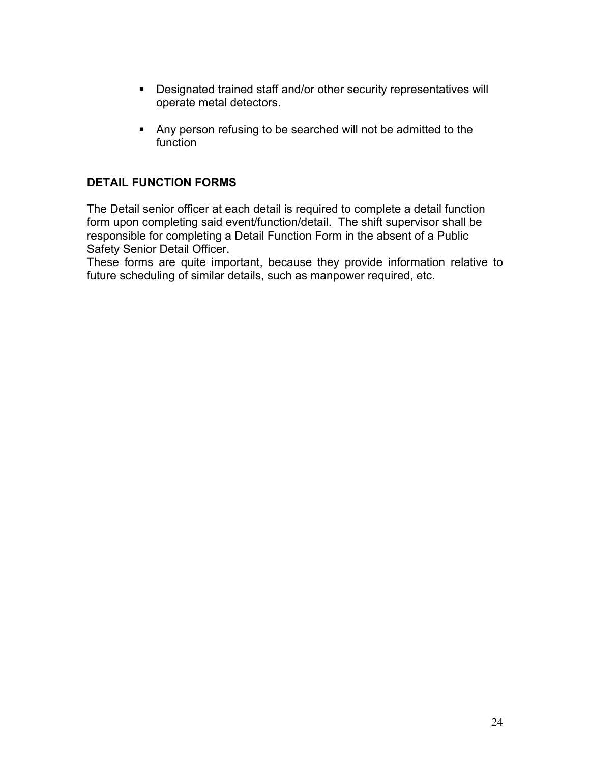- **-** Designated trained staff and/or other security representatives will operate metal detectors.
- Any person refusing to be searched will not be admitted to the function

## **DETAIL FUNCTION FORMS**

The Detail senior officer at each detail is required to complete a detail function form upon completing said event/function/detail. The shift supervisor shall be responsible for completing a Detail Function Form in the absent of a Public Safety Senior Detail Officer.

These forms are quite important, because they provide information relative to future scheduling of similar details, such as manpower required, etc.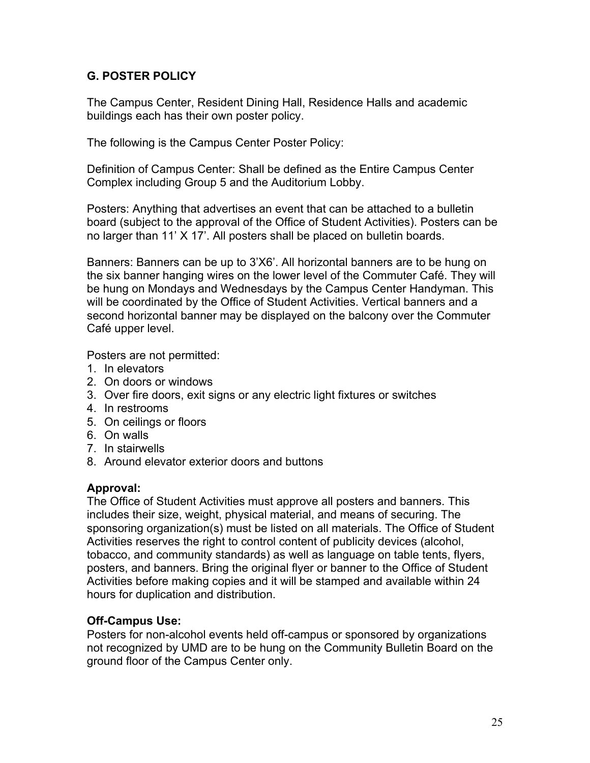## **G. POSTER POLICY**

The Campus Center, Resident Dining Hall, Residence Halls and academic buildings each has their own poster policy.

The following is the Campus Center Poster Policy:

Definition of Campus Center: Shall be defined as the Entire Campus Center Complex including Group 5 and the Auditorium Lobby.

Posters: Anything that advertises an event that can be attached to a bulletin board (subject to the approval of the Office of Student Activities). Posters can be no larger than 11' X 17'. All posters shall be placed on bulletin boards.

Banners: Banners can be up to 3'X6'. All horizontal banners are to be hung on the six banner hanging wires on the lower level of the Commuter Café. They will be hung on Mondays and Wednesdays by the Campus Center Handyman. This will be coordinated by the Office of Student Activities. Vertical banners and a second horizontal banner may be displayed on the balcony over the Commuter Café upper level.

Posters are not permitted:

- 1. In elevators
- 2. On doors or windows
- 3. Over fire doors, exit signs or any electric light fixtures or switches
- 4. In restrooms
- 5. On ceilings or floors
- 6. On walls
- 7. In stairwells
- 8. Around elevator exterior doors and buttons

## **Approval:**

The Office of Student Activities must approve all posters and banners. This includes their size, weight, physical material, and means of securing. The sponsoring organization(s) must be listed on all materials. The Office of Student Activities reserves the right to control content of publicity devices (alcohol, tobacco, and community standards) as well as language on table tents, flyers, posters, and banners. Bring the original flyer or banner to the Office of Student Activities before making copies and it will be stamped and available within 24 hours for duplication and distribution.

## **Off-Campus Use:**

Posters for non-alcohol events held off-campus or sponsored by organizations not recognized by UMD are to be hung on the Community Bulletin Board on the ground floor of the Campus Center only.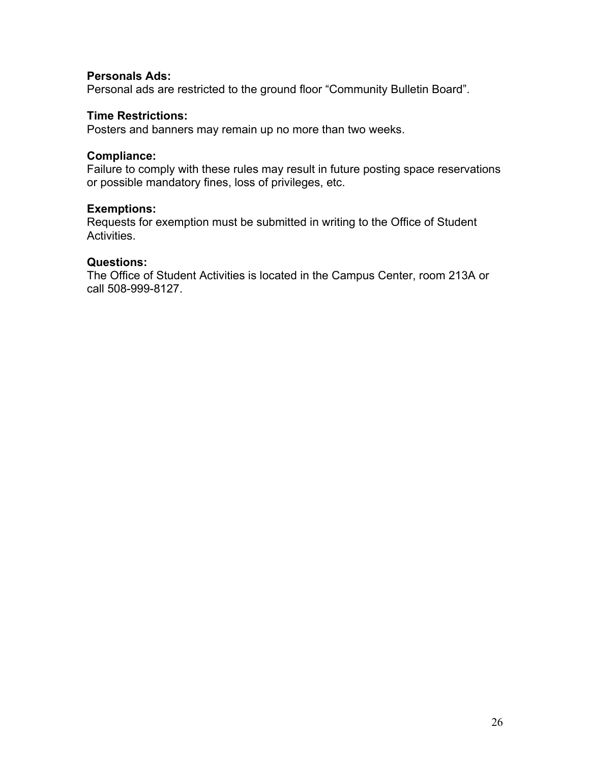#### **Personals Ads:**

Personal ads are restricted to the ground floor "Community Bulletin Board".

#### **Time Restrictions:**

Posters and banners may remain up no more than two weeks.

#### **Compliance:**

Failure to comply with these rules may result in future posting space reservations or possible mandatory fines, loss of privileges, etc.

#### **Exemptions:**

Requests for exemption must be submitted in writing to the Office of Student Activities.

#### **Questions:**

The Office of Student Activities is located in the Campus Center, room 213A or call 508-999-8127.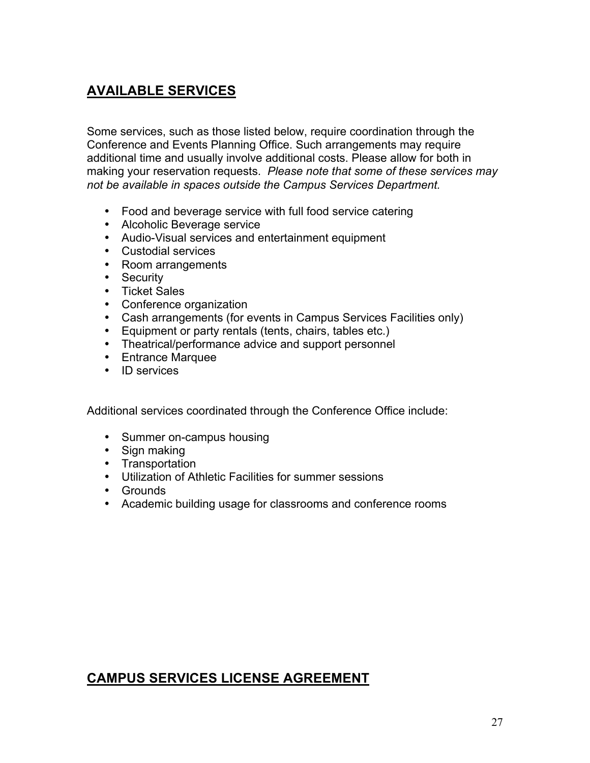# **AVAILABLE SERVICES**

Some services, such as those listed below, require coordination through the Conference and Events Planning Office. Such arrangements may require additional time and usually involve additional costs. Please allow for both in making your reservation requests. *Please note that some of these services may not be available in spaces outside the Campus Services Department.*

- Food and beverage service with full food service catering
- Alcoholic Beverage service
- Audio-Visual services and entertainment equipment
- Custodial services
- Room arrangements
- Security
- Ticket Sales
- Conference organization
- Cash arrangements (for events in Campus Services Facilities only)
- Equipment or party rentals (tents, chairs, tables etc.)
- Theatrical/performance advice and support personnel
- Entrance Marquee
- ID services

Additional services coordinated through the Conference Office include:

- Summer on-campus housing
- Sign making
- Transportation
- Utilization of Athletic Facilities for summer sessions
- Grounds
- Academic building usage for classrooms and conference rooms

# **CAMPUS SERVICES LICENSE AGREEMENT**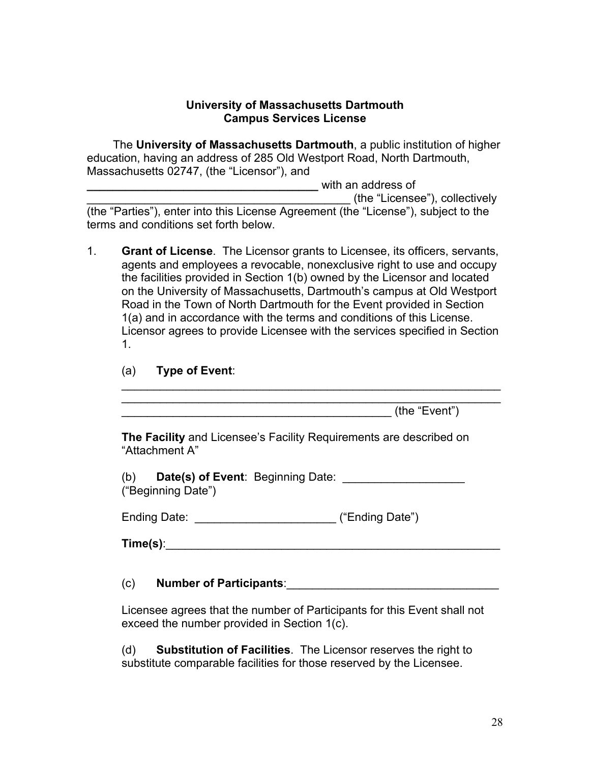#### **University of Massachusetts Dartmouth Campus Services License**

The **University of Massachusetts Dartmouth**, a public institution of higher education, having an address of 285 Old Westport Road, North Dartmouth, Massachusetts 02747, (the "Licensor"), and

**\_\_\_\_\_\_\_\_\_\_\_\_\_\_\_\_\_\_\_\_\_\_\_\_\_\_\_\_\_\_\_\_\_\_\_\_** with an address of

\_\_\_\_\_\_\_\_\_\_\_\_\_\_\_\_\_\_\_\_\_\_\_\_\_\_\_\_\_\_\_\_\_\_\_\_\_\_\_\_\_ (the "Licensee"), collectively

(the "Parties"), enter into this License Agreement (the "License"), subject to the terms and conditions set forth below.

- 1. **Grant of License**. The Licensor grants to Licensee, its officers, servants, agents and employees a revocable, nonexclusive right to use and occupy the facilities provided in Section 1(b) owned by the Licensor and located on the University of Massachusetts, Dartmouth's campus at Old Westport Road in the Town of North Dartmouth for the Event provided in Section 1(a) and in accordance with the terms and conditions of this License. Licensor agrees to provide Licensee with the services specified in Section 1.
	- (a) **Type of Event**:

 $\mathcal{L}_\text{max}$  and  $\mathcal{L}_\text{max}$  and  $\mathcal{L}_\text{max}$  and  $\mathcal{L}_\text{max}$  and  $\mathcal{L}_\text{max}$  $\blacksquare$  (the "Event")

**The Facility** and Licensee's Facility Requirements are described on "Attachment A"

\_\_\_\_\_\_\_\_\_\_\_\_\_\_\_\_\_\_\_\_\_\_\_\_\_\_\_\_\_\_\_\_\_\_\_\_\_\_\_\_\_\_\_\_\_\_\_\_\_\_\_\_\_\_\_\_\_\_\_

(b) **Date(s) of Event**: Beginning Date: ("Beginning Date")

Ending Date: **Ending Date** ("Ending Date")

**Time(s)**:

#### (c) **Number of Participants**:\_\_\_\_\_\_\_\_\_\_\_\_\_\_\_\_\_\_\_\_\_\_\_\_\_\_\_\_\_\_\_\_\_

Licensee agrees that the number of Participants for this Event shall not exceed the number provided in Section 1(c).

(d) **Substitution of Facilities**. The Licensor reserves the right to substitute comparable facilities for those reserved by the Licensee.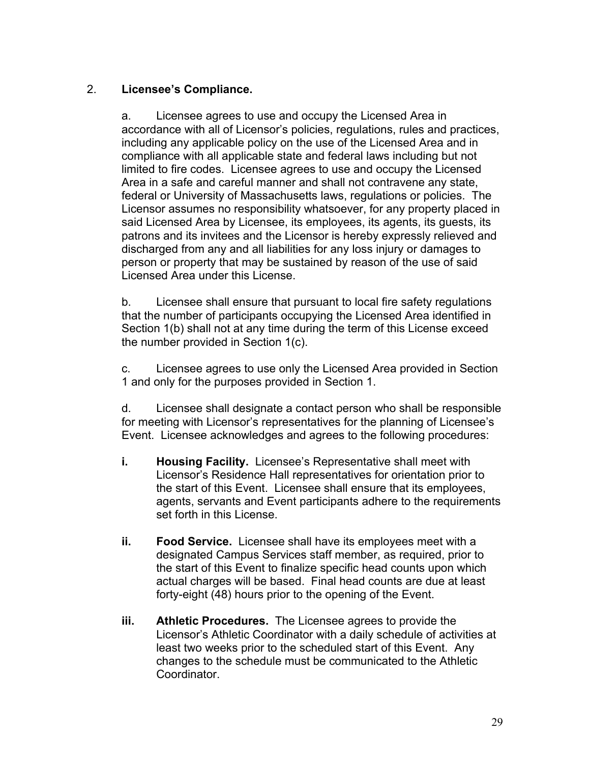# 2. **Licensee's Compliance.**

a. Licensee agrees to use and occupy the Licensed Area in accordance with all of Licensor's policies, regulations, rules and practices, including any applicable policy on the use of the Licensed Area and in compliance with all applicable state and federal laws including but not limited to fire codes. Licensee agrees to use and occupy the Licensed Area in a safe and careful manner and shall not contravene any state, federal or University of Massachusetts laws, regulations or policies. The Licensor assumes no responsibility whatsoever, for any property placed in said Licensed Area by Licensee, its employees, its agents, its guests, its patrons and its invitees and the Licensor is hereby expressly relieved and discharged from any and all liabilities for any loss injury or damages to person or property that may be sustained by reason of the use of said Licensed Area under this License.

b. Licensee shall ensure that pursuant to local fire safety regulations that the number of participants occupying the Licensed Area identified in Section 1(b) shall not at any time during the term of this License exceed the number provided in Section 1(c).

c. Licensee agrees to use only the Licensed Area provided in Section 1 and only for the purposes provided in Section 1.

d. Licensee shall designate a contact person who shall be responsible for meeting with Licensor's representatives for the planning of Licensee's Event. Licensee acknowledges and agrees to the following procedures:

- **i. Housing Facility.** Licensee's Representative shall meet with Licensor's Residence Hall representatives for orientation prior to the start of this Event. Licensee shall ensure that its employees, agents, servants and Event participants adhere to the requirements set forth in this License.
- **ii. Food Service.** Licensee shall have its employees meet with a designated Campus Services staff member, as required, prior to the start of this Event to finalize specific head counts upon which actual charges will be based. Final head counts are due at least forty-eight (48) hours prior to the opening of the Event.
- **iii. Athletic Procedures.** The Licensee agrees to provide the Licensor's Athletic Coordinator with a daily schedule of activities at least two weeks prior to the scheduled start of this Event. Any changes to the schedule must be communicated to the Athletic Coordinator.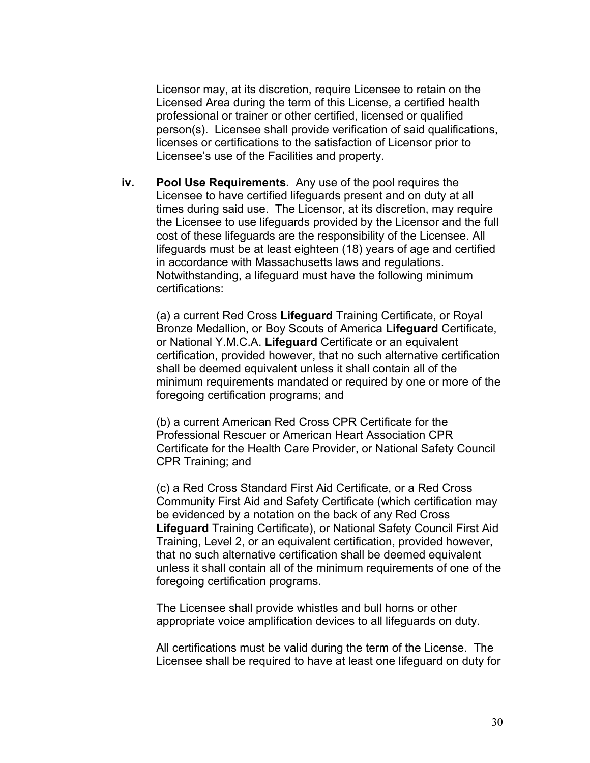Licensor may, at its discretion, require Licensee to retain on the Licensed Area during the term of this License, a certified health professional or trainer or other certified, licensed or qualified person(s). Licensee shall provide verification of said qualifications, licenses or certifications to the satisfaction of Licensor prior to Licensee's use of the Facilities and property.

**iv. Pool Use Requirements.** Any use of the pool requires the Licensee to have certified lifeguards present and on duty at all times during said use. The Licensor, at its discretion, may require the Licensee to use lifeguards provided by the Licensor and the full cost of these lifeguards are the responsibility of the Licensee. All lifeguards must be at least eighteen (18) years of age and certified in accordance with Massachusetts laws and regulations. Notwithstanding, a lifeguard must have the following minimum certifications:

(a) a current Red Cross **Lifeguard** Training Certificate, or Royal Bronze Medallion, or Boy Scouts of America **Lifeguard** Certificate, or National Y.M.C.A. **Lifeguard** Certificate or an equivalent certification, provided however, that no such alternative certification shall be deemed equivalent unless it shall contain all of the minimum requirements mandated or required by one or more of the foregoing certification programs; and

(b) a current American Red Cross CPR Certificate for the Professional Rescuer or American Heart Association CPR Certificate for the Health Care Provider, or National Safety Council CPR Training; and

(c) a Red Cross Standard First Aid Certificate, or a Red Cross Community First Aid and Safety Certificate (which certification may be evidenced by a notation on the back of any Red Cross **Lifeguard** Training Certificate), or National Safety Council First Aid Training, Level 2, or an equivalent certification, provided however, that no such alternative certification shall be deemed equivalent unless it shall contain all of the minimum requirements of one of the foregoing certification programs.

The Licensee shall provide whistles and bull horns or other appropriate voice amplification devices to all lifeguards on duty.

All certifications must be valid during the term of the License. The Licensee shall be required to have at least one lifeguard on duty for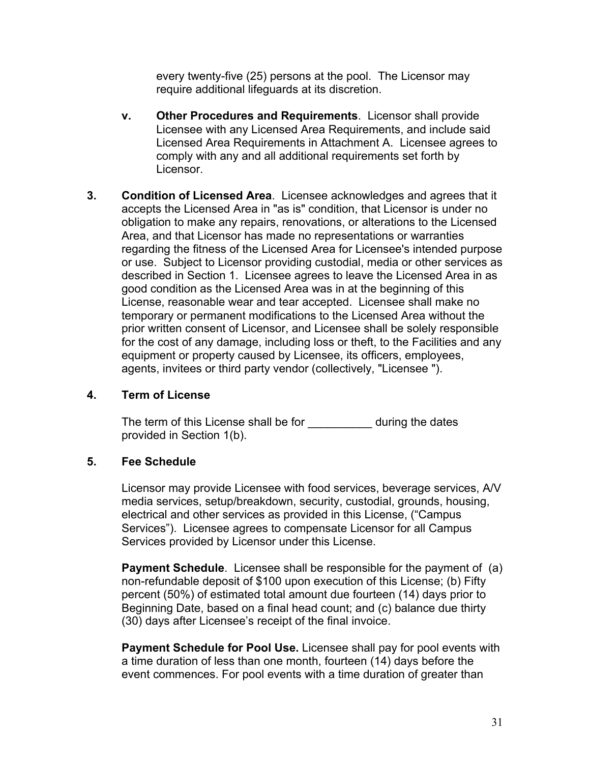every twenty-five (25) persons at the pool. The Licensor may require additional lifeguards at its discretion.

- **v. Other Procedures and Requirements**. Licensor shall provide Licensee with any Licensed Area Requirements, and include said Licensed Area Requirements in Attachment A. Licensee agrees to comply with any and all additional requirements set forth by Licensor.
- **3. Condition of Licensed Area**. Licensee acknowledges and agrees that it accepts the Licensed Area in "as is" condition, that Licensor is under no obligation to make any repairs, renovations, or alterations to the Licensed Area, and that Licensor has made no representations or warranties regarding the fitness of the Licensed Area for Licensee's intended purpose or use. Subject to Licensor providing custodial, media or other services as described in Section 1. Licensee agrees to leave the Licensed Area in as good condition as the Licensed Area was in at the beginning of this License, reasonable wear and tear accepted. Licensee shall make no temporary or permanent modifications to the Licensed Area without the prior written consent of Licensor, and Licensee shall be solely responsible for the cost of any damage, including loss or theft, to the Facilities and any equipment or property caused by Licensee, its officers, employees, agents, invitees or third party vendor (collectively, "Licensee ").

#### **4. Term of License**

The term of this License shall be for \_\_\_\_\_\_\_\_\_\_\_\_ during the dates provided in Section 1(b).

#### **5. Fee Schedule**

Licensor may provide Licensee with food services, beverage services, A/V media services, setup/breakdown, security, custodial, grounds, housing, electrical and other services as provided in this License, ("Campus Services"). Licensee agrees to compensate Licensor for all Campus Services provided by Licensor under this License.

**Payment Schedule**. Licensee shall be responsible for the payment of (a) non-refundable deposit of \$100 upon execution of this License; (b) Fifty percent (50%) of estimated total amount due fourteen (14) days prior to Beginning Date, based on a final head count; and (c) balance due thirty (30) days after Licensee's receipt of the final invoice.

**Payment Schedule for Pool Use.** Licensee shall pay for pool events with a time duration of less than one month, fourteen (14) days before the event commences. For pool events with a time duration of greater than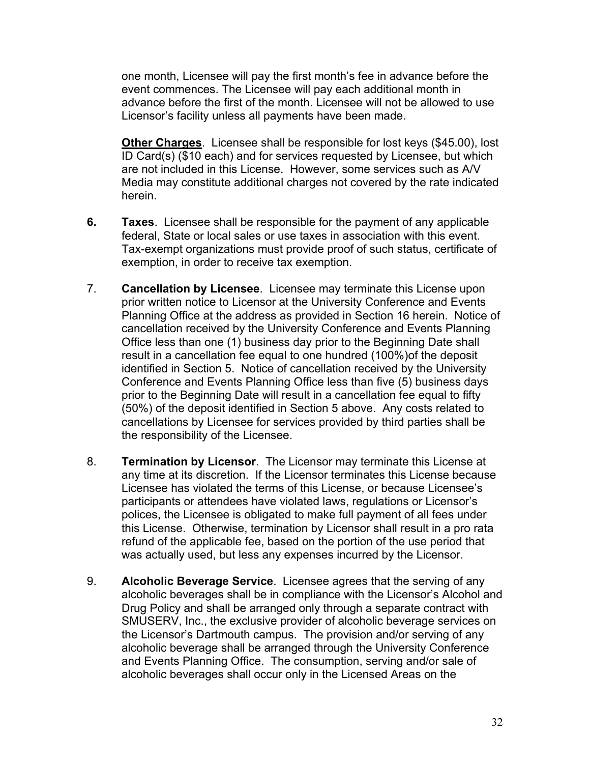one month, Licensee will pay the first month's fee in advance before the event commences. The Licensee will pay each additional month in advance before the first of the month. Licensee will not be allowed to use Licensor's facility unless all payments have been made.

**Other Charges**. Licensee shall be responsible for lost keys (\$45.00), lost ID Card(s) (\$10 each) and for services requested by Licensee, but which are not included in this License. However, some services such as A/V Media may constitute additional charges not covered by the rate indicated herein.

- **6. Taxes**. Licensee shall be responsible for the payment of any applicable federal, State or local sales or use taxes in association with this event. Tax-exempt organizations must provide proof of such status, certificate of exemption, in order to receive tax exemption.
- 7. **Cancellation by Licensee**. Licensee may terminate this License upon prior written notice to Licensor at the University Conference and Events Planning Office at the address as provided in Section 16 herein. Notice of cancellation received by the University Conference and Events Planning Office less than one (1) business day prior to the Beginning Date shall result in a cancellation fee equal to one hundred (100%)of the deposit identified in Section 5. Notice of cancellation received by the University Conference and Events Planning Office less than five (5) business days prior to the Beginning Date will result in a cancellation fee equal to fifty (50%) of the deposit identified in Section 5 above. Any costs related to cancellations by Licensee for services provided by third parties shall be the responsibility of the Licensee.
- 8. **Termination by Licensor**. The Licensor may terminate this License at any time at its discretion. If the Licensor terminates this License because Licensee has violated the terms of this License, or because Licensee's participants or attendees have violated laws, regulations or Licensor's polices, the Licensee is obligated to make full payment of all fees under this License. Otherwise, termination by Licensor shall result in a pro rata refund of the applicable fee, based on the portion of the use period that was actually used, but less any expenses incurred by the Licensor.
- 9. **Alcoholic Beverage Service**. Licensee agrees that the serving of any alcoholic beverages shall be in compliance with the Licensor's Alcohol and Drug Policy and shall be arranged only through a separate contract with SMUSERV, Inc., the exclusive provider of alcoholic beverage services on the Licensor's Dartmouth campus. The provision and/or serving of any alcoholic beverage shall be arranged through the University Conference and Events Planning Office. The consumption, serving and/or sale of alcoholic beverages shall occur only in the Licensed Areas on the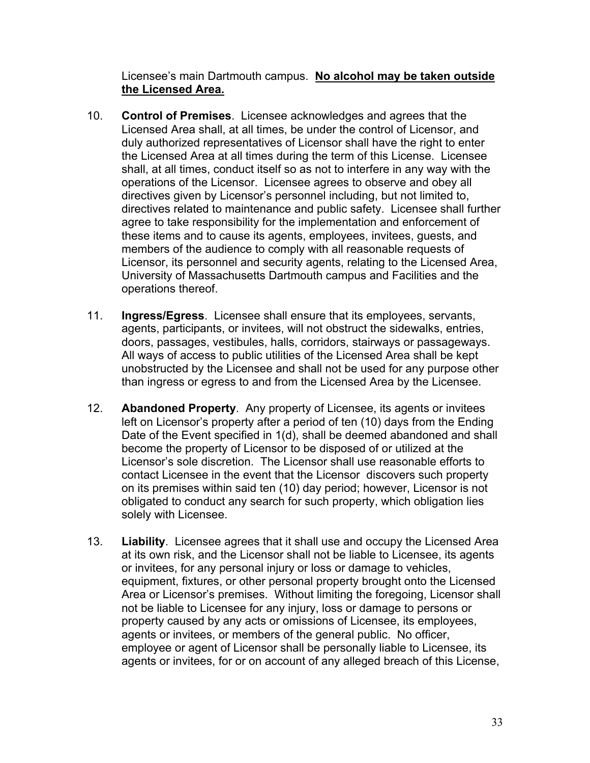Licensee's main Dartmouth campus. **No alcohol may be taken outside the Licensed Area.**

- 10. **Control of Premises**. Licensee acknowledges and agrees that the Licensed Area shall, at all times, be under the control of Licensor, and duly authorized representatives of Licensor shall have the right to enter the Licensed Area at all times during the term of this License. Licensee shall, at all times, conduct itself so as not to interfere in any way with the operations of the Licensor. Licensee agrees to observe and obey all directives given by Licensor's personnel including, but not limited to, directives related to maintenance and public safety. Licensee shall further agree to take responsibility for the implementation and enforcement of these items and to cause its agents, employees, invitees, guests, and members of the audience to comply with all reasonable requests of Licensor, its personnel and security agents, relating to the Licensed Area, University of Massachusetts Dartmouth campus and Facilities and the operations thereof.
- 11. **Ingress/Egress**. Licensee shall ensure that its employees, servants, agents, participants, or invitees, will not obstruct the sidewalks, entries, doors, passages, vestibules, halls, corridors, stairways or passageways. All ways of access to public utilities of the Licensed Area shall be kept unobstructed by the Licensee and shall not be used for any purpose other than ingress or egress to and from the Licensed Area by the Licensee.
- 12. **Abandoned Property**. Any property of Licensee, its agents or invitees left on Licensor's property after a period of ten (10) days from the Ending Date of the Event specified in 1(d), shall be deemed abandoned and shall become the property of Licensor to be disposed of or utilized at the Licensor's sole discretion. The Licensor shall use reasonable efforts to contact Licensee in the event that the Licensor discovers such property on its premises within said ten (10) day period; however, Licensor is not obligated to conduct any search for such property, which obligation lies solely with Licensee.
- 13. **Liability**. Licensee agrees that it shall use and occupy the Licensed Area at its own risk, and the Licensor shall not be liable to Licensee, its agents or invitees, for any personal injury or loss or damage to vehicles, equipment, fixtures, or other personal property brought onto the Licensed Area or Licensor's premises. Without limiting the foregoing, Licensor shall not be liable to Licensee for any injury, loss or damage to persons or property caused by any acts or omissions of Licensee, its employees, agents or invitees, or members of the general public. No officer, employee or agent of Licensor shall be personally liable to Licensee, its agents or invitees, for or on account of any alleged breach of this License,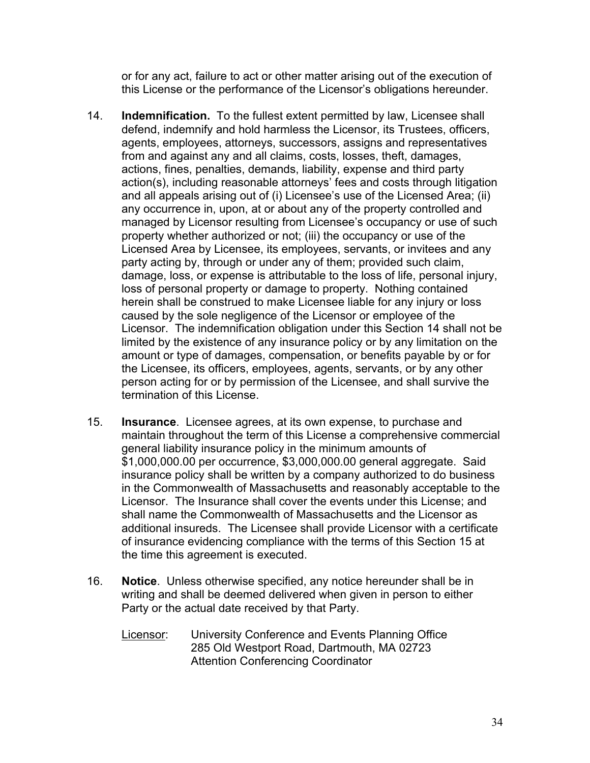or for any act, failure to act or other matter arising out of the execution of this License or the performance of the Licensor's obligations hereunder.

- 14. **Indemnification.** To the fullest extent permitted by law, Licensee shall defend, indemnify and hold harmless the Licensor, its Trustees, officers, agents, employees, attorneys, successors, assigns and representatives from and against any and all claims, costs, losses, theft, damages, actions, fines, penalties, demands, liability, expense and third party action(s), including reasonable attorneys' fees and costs through litigation and all appeals arising out of (i) Licensee's use of the Licensed Area; (ii) any occurrence in, upon, at or about any of the property controlled and managed by Licensor resulting from Licensee's occupancy or use of such property whether authorized or not; (iii) the occupancy or use of the Licensed Area by Licensee, its employees, servants, or invitees and any party acting by, through or under any of them; provided such claim, damage, loss, or expense is attributable to the loss of life, personal injury, loss of personal property or damage to property. Nothing contained herein shall be construed to make Licensee liable for any injury or loss caused by the sole negligence of the Licensor or employee of the Licensor. The indemnification obligation under this Section 14 shall not be limited by the existence of any insurance policy or by any limitation on the amount or type of damages, compensation, or benefits payable by or for the Licensee, its officers, employees, agents, servants, or by any other person acting for or by permission of the Licensee, and shall survive the termination of this License.
- 15. **Insurance**. Licensee agrees, at its own expense, to purchase and maintain throughout the term of this License a comprehensive commercial general liability insurance policy in the minimum amounts of \$1,000,000.00 per occurrence, \$3,000,000.00 general aggregate. Said insurance policy shall be written by a company authorized to do business in the Commonwealth of Massachusetts and reasonably acceptable to the Licensor. The Insurance shall cover the events under this License; and shall name the Commonwealth of Massachusetts and the Licensor as additional insureds. The Licensee shall provide Licensor with a certificate of insurance evidencing compliance with the terms of this Section 15 at the time this agreement is executed.
- 16. **Notice**. Unless otherwise specified, any notice hereunder shall be in writing and shall be deemed delivered when given in person to either Party or the actual date received by that Party.
	- Licensor: University Conference and Events Planning Office 285 Old Westport Road, Dartmouth, MA 02723 Attention Conferencing Coordinator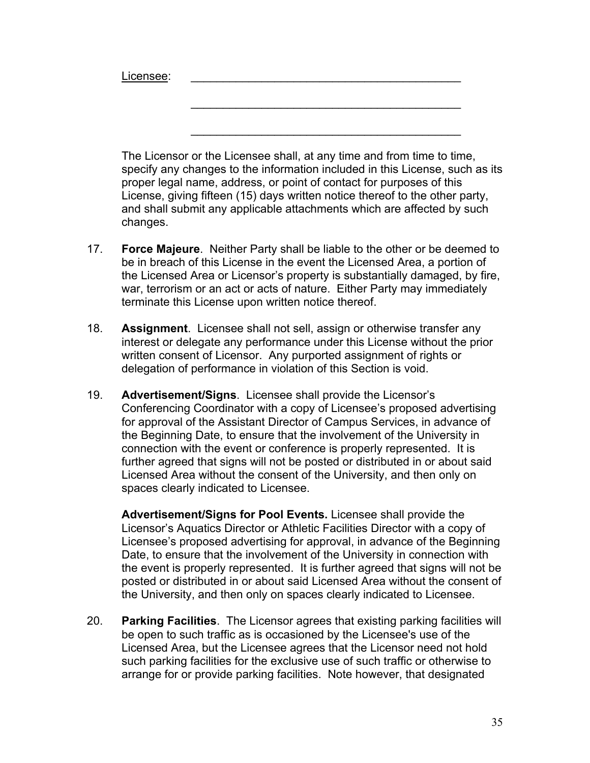Licensee:

The Licensor or the Licensee shall, at any time and from time to time, specify any changes to the information included in this License, such as its proper legal name, address, or point of contact for purposes of this License, giving fifteen (15) days written notice thereof to the other party, and shall submit any applicable attachments which are affected by such changes.

 $\mathcal{L}_\text{max}$  and  $\mathcal{L}_\text{max}$  and  $\mathcal{L}_\text{max}$  and  $\mathcal{L}_\text{max}$ 

\_\_\_\_\_\_\_\_\_\_\_\_\_\_\_\_\_\_\_\_\_\_\_\_\_\_\_\_\_\_\_\_\_\_\_\_\_\_\_\_\_\_

- 17. **Force Majeure**. Neither Party shall be liable to the other or be deemed to be in breach of this License in the event the Licensed Area, a portion of the Licensed Area or Licensor's property is substantially damaged, by fire, war, terrorism or an act or acts of nature. Either Party may immediately terminate this License upon written notice thereof.
- 18. **Assignment**. Licensee shall not sell, assign or otherwise transfer any interest or delegate any performance under this License without the prior written consent of Licensor. Any purported assignment of rights or delegation of performance in violation of this Section is void.
- 19. **Advertisement/Signs**. Licensee shall provide the Licensor's Conferencing Coordinator with a copy of Licensee's proposed advertising for approval of the Assistant Director of Campus Services, in advance of the Beginning Date, to ensure that the involvement of the University in connection with the event or conference is properly represented. It is further agreed that signs will not be posted or distributed in or about said Licensed Area without the consent of the University, and then only on spaces clearly indicated to Licensee.

**Advertisement/Signs for Pool Events.** Licensee shall provide the Licensor's Aquatics Director or Athletic Facilities Director with a copy of Licensee's proposed advertising for approval, in advance of the Beginning Date, to ensure that the involvement of the University in connection with the event is properly represented. It is further agreed that signs will not be posted or distributed in or about said Licensed Area without the consent of the University, and then only on spaces clearly indicated to Licensee.

20. **Parking Facilities**. The Licensor agrees that existing parking facilities will be open to such traffic as is occasioned by the Licensee's use of the Licensed Area, but the Licensee agrees that the Licensor need not hold such parking facilities for the exclusive use of such traffic or otherwise to arrange for or provide parking facilities. Note however, that designated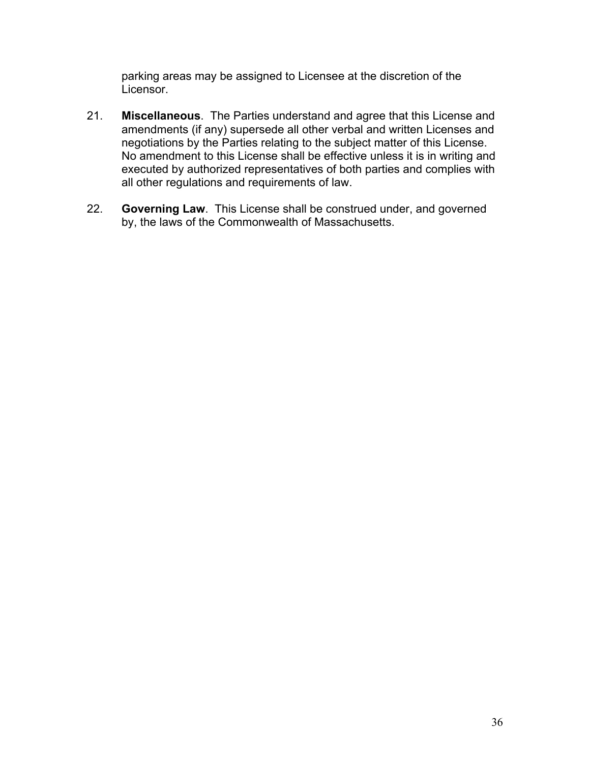parking areas may be assigned to Licensee at the discretion of the Licensor.

- 21. **Miscellaneous**. The Parties understand and agree that this License and amendments (if any) supersede all other verbal and written Licenses and negotiations by the Parties relating to the subject matter of this License. No amendment to this License shall be effective unless it is in writing and executed by authorized representatives of both parties and complies with all other regulations and requirements of law.
- 22. **Governing Law**. This License shall be construed under, and governed by, the laws of the Commonwealth of Massachusetts.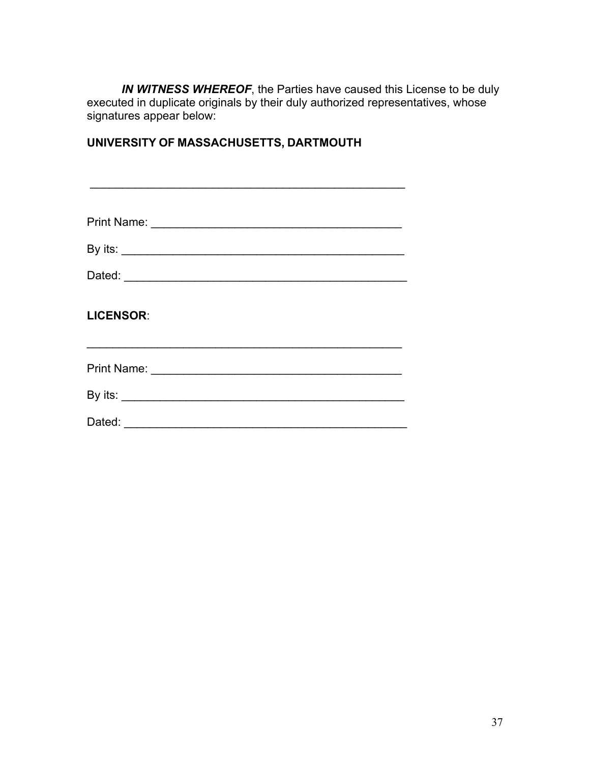*IN WITNESS WHEREOF*, the Parties have caused this License to be duly executed in duplicate originals by their duly authorized representatives, whose signatures appear below:

# **UNIVERSITY OF MASSACHUSETTS, DARTMOUTH**

| <b>LICENSOR:</b> |
|------------------|
|                  |
|                  |
|                  |
|                  |

\_\_\_\_\_\_\_\_\_\_\_\_\_\_\_\_\_\_\_\_\_\_\_\_\_\_\_\_\_\_\_\_\_\_\_\_\_\_\_\_\_\_\_\_\_\_\_\_\_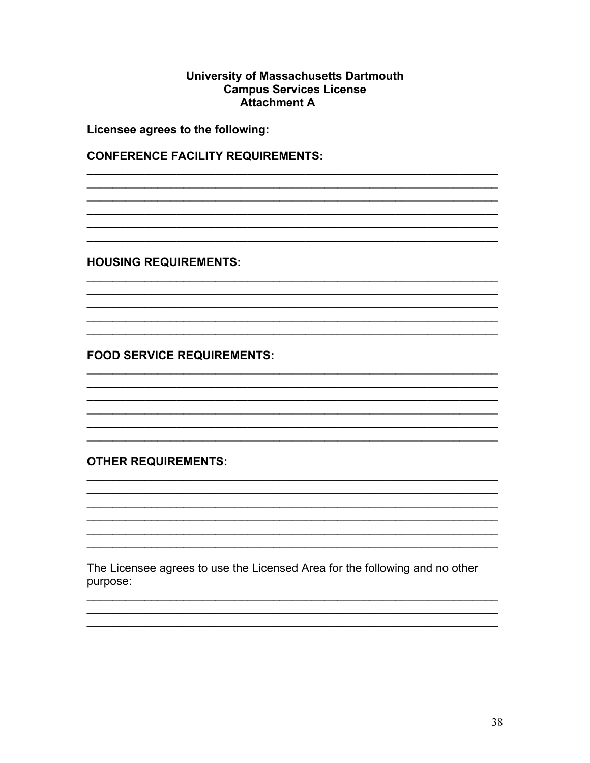#### **University of Massachusetts Dartmouth Campus Services License Attachment A**

Licensee agrees to the following:

**CONFERENCE FACILITY REQUIREMENTS:** 

**HOUSING REQUIREMENTS:** 

**FOOD SERVICE REQUIREMENTS:** 

**OTHER REQUIREMENTS:** 

The Licensee agrees to use the Licensed Area for the following and no other purpose: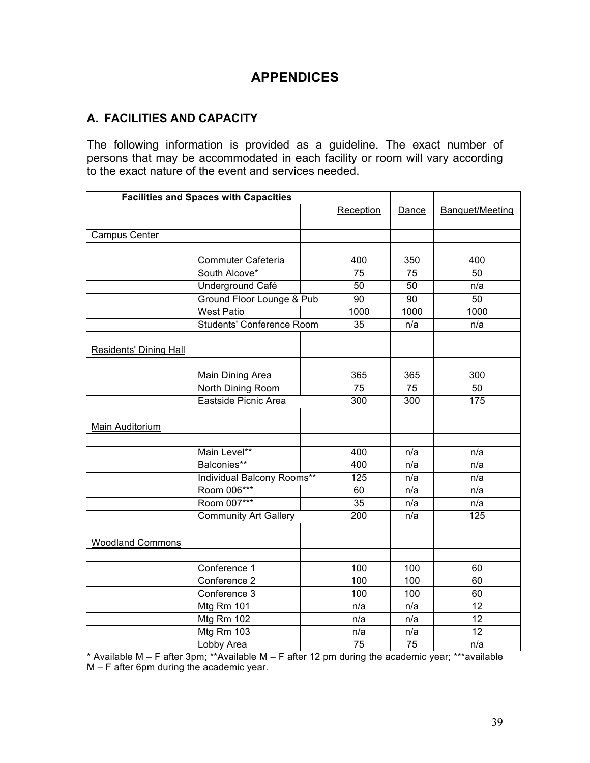# **APPENDICES**

# **A. FACILITIES AND CAPACITY**

The following information is provided as a guideline. The exact number of persons that may be accommodated in each facility or room will vary according to the exact nature of the event and services needed.

| <b>Facilities and Spaces with Capacities</b> |                                  |     |     |                 |                 |                 |
|----------------------------------------------|----------------------------------|-----|-----|-----------------|-----------------|-----------------|
|                                              |                                  |     |     | Reception       | Dance           | Banquet/Meeting |
|                                              |                                  |     |     |                 |                 |                 |
| <b>Campus Center</b>                         |                                  |     |     |                 |                 |                 |
|                                              |                                  |     |     |                 |                 |                 |
|                                              | Commuter Cafeteria               |     |     | 400             | 350             | 400             |
|                                              | South Alcove*                    |     |     | 75              | 75              | 50              |
|                                              | Underground Café                 |     |     | 50              | 50              | n/a             |
|                                              | Ground Floor Lounge & Pub        |     |     | 90              | $\overline{90}$ | $\overline{50}$ |
|                                              | <b>West Patio</b>                |     |     | 1000            | 1000            | 1000            |
|                                              | <b>Students' Conference Room</b> |     |     | $\overline{35}$ | n/a             | n/a             |
|                                              |                                  |     |     |                 |                 |                 |
| <b>Residents' Dining Hall</b>                |                                  |     |     |                 |                 |                 |
|                                              |                                  |     |     |                 |                 |                 |
|                                              | Main Dining Area                 |     |     | 365             | 365             | 300             |
|                                              | North Dining Room                |     |     | 75              | 75              | 50              |
|                                              | Eastside Picnic Area             |     |     | 300             | 300             | 175             |
|                                              |                                  |     |     |                 |                 |                 |
| Main Auditorium                              |                                  |     |     |                 |                 |                 |
|                                              |                                  |     |     |                 |                 |                 |
|                                              | Main Level**                     |     |     | 400             | n/a             | n/a             |
|                                              | Balconies**                      |     |     | 400             | n/a             | n/a             |
|                                              | Individual Balcony Rooms**       |     | 125 | n/a             | n/a             |                 |
|                                              | Room 006***                      |     |     | 60              | n/a             | n/a             |
|                                              | Room 007***                      |     |     | 35              | n/a             | n/a             |
| <b>Community Art Gallery</b>                 |                                  | 200 | n/a | 125             |                 |                 |
|                                              |                                  |     |     |                 |                 |                 |
| <b>Woodland Commons</b>                      |                                  |     |     |                 |                 |                 |
|                                              |                                  |     |     |                 |                 |                 |
|                                              | Conference 1                     |     |     | 100             | 100             | 60              |
|                                              | Conference 2                     |     |     | 100             | 100             | 60              |
|                                              | Conference 3                     |     |     | 100             | 100             | 60              |
|                                              | Mtg Rm 101                       |     |     | n/a             | n/a             | 12              |
|                                              | Mtg Rm 102                       |     |     | n/a             | n/a             | 12              |
|                                              | Mtg Rm 103                       |     |     | n/a             | n/a             | 12              |
|                                              | Lobby Area                       |     |     | 75              | 75              | n/a             |

\* Available M – F after 3pm; \*\*Available M – F after 12 pm during the academic year; \*\*\*available M – F after 6pm during the academic year.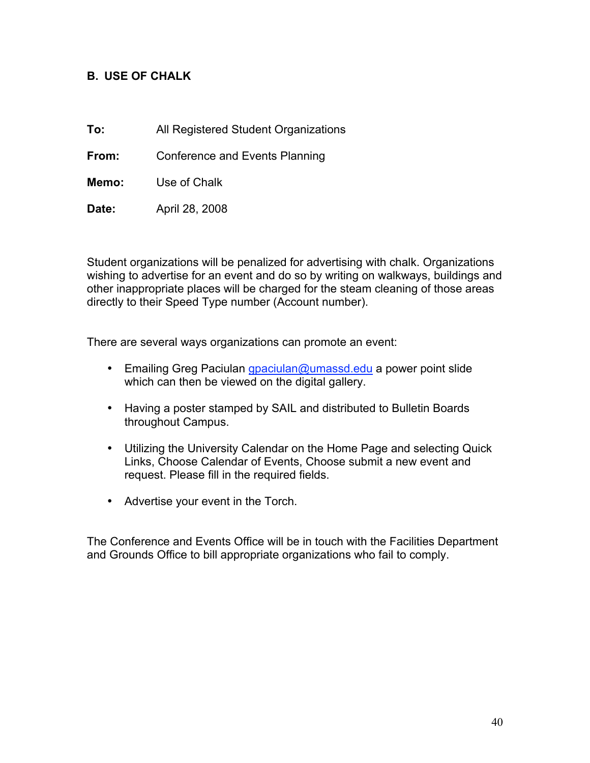#### **B. USE OF CHALK**

**To:** All Registered Student Organizations

**From:** Conference and Events Planning

**Memo:** Use of Chalk

**Date:** April 28, 2008

Student organizations will be penalized for advertising with chalk. Organizations wishing to advertise for an event and do so by writing on walkways, buildings and other inappropriate places will be charged for the steam cleaning of those areas directly to their Speed Type number (Account number).

There are several ways organizations can promote an event:

- Emailing Greg Paciulan *gpaciulan@umassd.edu* a power point slide which can then be viewed on the digital gallery.
- Having a poster stamped by SAIL and distributed to Bulletin Boards throughout Campus.
- Utilizing the University Calendar on the Home Page and selecting Quick Links, Choose Calendar of Events, Choose submit a new event and request. Please fill in the required fields.
- Advertise your event in the Torch.

The Conference and Events Office will be in touch with the Facilities Department and Grounds Office to bill appropriate organizations who fail to comply.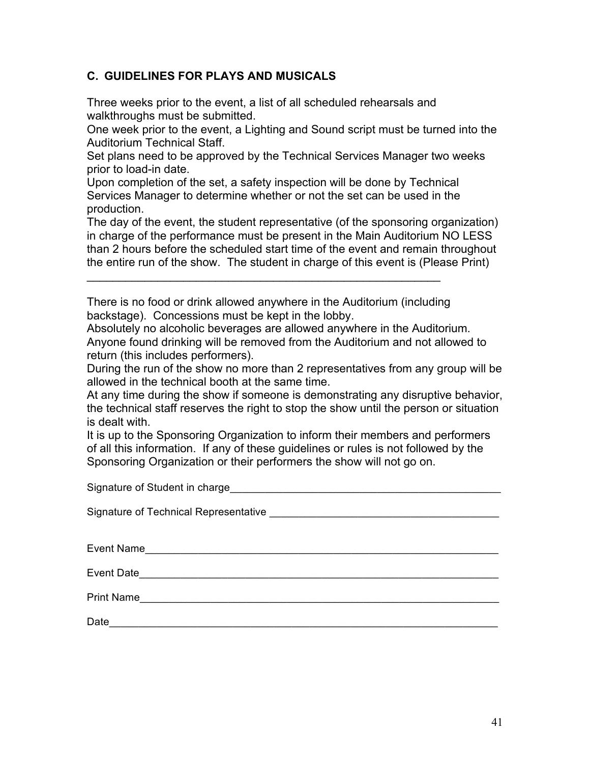## **C. GUIDELINES FOR PLAYS AND MUSICALS**

Three weeks prior to the event, a list of all scheduled rehearsals and walkthroughs must be submitted.

One week prior to the event, a Lighting and Sound script must be turned into the Auditorium Technical Staff.

Set plans need to be approved by the Technical Services Manager two weeks prior to load-in date.

Upon completion of the set, a safety inspection will be done by Technical Services Manager to determine whether or not the set can be used in the production.

The day of the event, the student representative (of the sponsoring organization) in charge of the performance must be present in the Main Auditorium NO LESS than 2 hours before the scheduled start time of the event and remain throughout the entire run of the show. The student in charge of this event is (Please Print)

There is no food or drink allowed anywhere in the Auditorium (including backstage). Concessions must be kept in the lobby.

 $\mathcal{L}_\text{max}$  and  $\mathcal{L}_\text{max}$  and  $\mathcal{L}_\text{max}$  and  $\mathcal{L}_\text{max}$  and  $\mathcal{L}_\text{max}$ 

Absolutely no alcoholic beverages are allowed anywhere in the Auditorium. Anyone found drinking will be removed from the Auditorium and not allowed to return (this includes performers).

During the run of the show no more than 2 representatives from any group will be allowed in the technical booth at the same time.

At any time during the show if someone is demonstrating any disruptive behavior, the technical staff reserves the right to stop the show until the person or situation is dealt with.

It is up to the Sponsoring Organization to inform their members and performers of all this information. If any of these guidelines or rules is not followed by the Sponsoring Organization or their performers the show will not go on.

Signature of Student in charge **Example 20** and the students of  $\overline{S}$ 

Signature of Technical Representative **Example 2018** 

Event Name\_\_\_\_\_\_\_\_\_\_\_\_\_\_\_\_\_\_\_\_\_\_\_\_\_\_\_\_\_\_\_\_\_\_\_\_\_\_\_\_\_\_\_\_\_\_\_\_\_\_\_\_\_\_\_\_\_\_\_\_

Event Date was a set of the set of the set of the set of the set of the set of the set of the set of the set of the set of the set of the set of the set of the set of the set of the set of the set of the set of the set of

Print Name\_\_\_\_\_\_\_\_\_\_\_\_\_\_\_\_\_\_\_\_\_\_\_\_\_\_\_\_\_\_\_\_\_\_\_\_\_\_\_\_\_\_\_\_\_\_\_\_\_\_\_\_\_\_\_\_\_\_\_\_\_

Date\_\_\_\_\_\_\_\_\_\_\_\_\_\_\_\_\_\_\_\_\_\_\_\_\_\_\_\_\_\_\_\_\_\_\_\_\_\_\_\_\_\_\_\_\_\_\_\_\_\_\_\_\_\_\_\_\_\_\_\_\_\_\_\_\_\_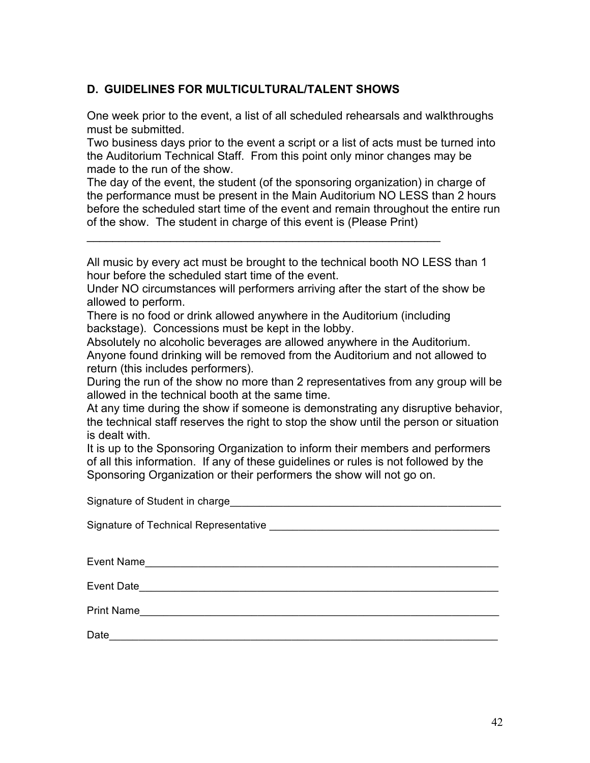# **D. GUIDELINES FOR MULTICULTURAL/TALENT SHOWS**

One week prior to the event, a list of all scheduled rehearsals and walkthroughs must be submitted.

Two business days prior to the event a script or a list of acts must be turned into the Auditorium Technical Staff. From this point only minor changes may be made to the run of the show.

The day of the event, the student (of the sponsoring organization) in charge of the performance must be present in the Main Auditorium NO LESS than 2 hours before the scheduled start time of the event and remain throughout the entire run of the show. The student in charge of this event is (Please Print)

All music by every act must be brought to the technical booth NO LESS than 1 hour before the scheduled start time of the event.

Under NO circumstances will performers arriving after the start of the show be allowed to perform.

There is no food or drink allowed anywhere in the Auditorium (including backstage). Concessions must be kept in the lobby.

 $\mathcal{L}_\text{max}$  and  $\mathcal{L}_\text{max}$  and  $\mathcal{L}_\text{max}$  and  $\mathcal{L}_\text{max}$  and  $\mathcal{L}_\text{max}$ 

Absolutely no alcoholic beverages are allowed anywhere in the Auditorium. Anyone found drinking will be removed from the Auditorium and not allowed to return (this includes performers).

During the run of the show no more than 2 representatives from any group will be allowed in the technical booth at the same time.

At any time during the show if someone is demonstrating any disruptive behavior, the technical staff reserves the right to stop the show until the person or situation is dealt with.

It is up to the Sponsoring Organization to inform their members and performers of all this information. If any of these guidelines or rules is not followed by the Sponsoring Organization or their performers the show will not go on.

Signature of Student in charge\_\_\_\_\_\_\_\_\_\_\_\_\_\_\_\_\_\_\_\_\_\_\_\_\_\_\_\_\_\_\_\_\_\_\_\_\_\_\_\_\_\_\_\_\_\_

Signature of Technical Representative **Example 2018** 

Event Name\_\_\_\_\_\_\_\_\_\_\_\_\_\_\_\_\_\_\_\_\_\_\_\_\_\_\_\_\_\_\_\_\_\_\_\_\_\_\_\_\_\_\_\_\_\_\_\_\_\_\_\_\_\_\_\_\_\_\_\_

Event Date\_\_\_\_\_\_\_\_\_\_\_\_\_\_\_\_\_\_\_\_\_\_\_\_\_\_\_\_\_\_\_\_\_\_\_\_\_\_\_\_\_\_\_\_\_\_\_\_\_\_\_\_\_\_\_\_\_\_\_\_\_

Print Name

Date\_\_\_\_\_\_\_\_\_\_\_\_\_\_\_\_\_\_\_\_\_\_\_\_\_\_\_\_\_\_\_\_\_\_\_\_\_\_\_\_\_\_\_\_\_\_\_\_\_\_\_\_\_\_\_\_\_\_\_\_\_\_\_\_\_\_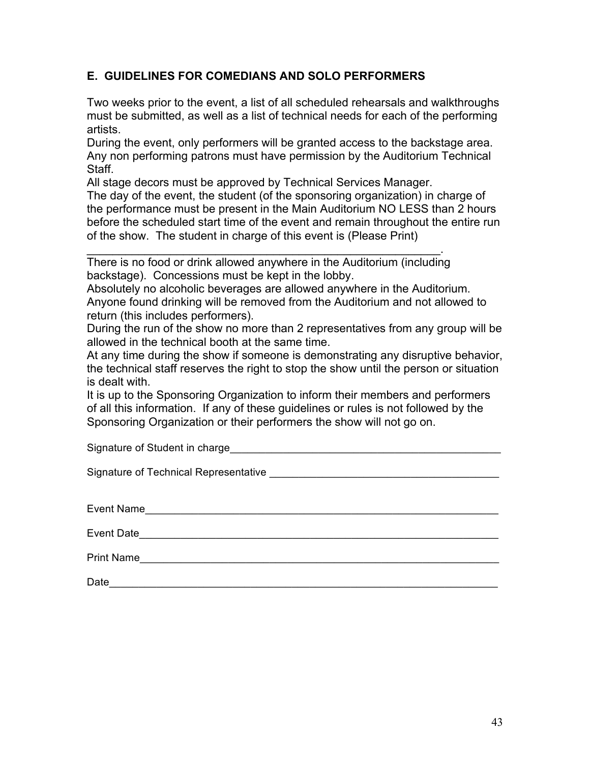## **E. GUIDELINES FOR COMEDIANS AND SOLO PERFORMERS**

Two weeks prior to the event, a list of all scheduled rehearsals and walkthroughs must be submitted, as well as a list of technical needs for each of the performing artists.

During the event, only performers will be granted access to the backstage area. Any non performing patrons must have permission by the Auditorium Technical Staff.

All stage decors must be approved by Technical Services Manager.

The day of the event, the student (of the sponsoring organization) in charge of the performance must be present in the Main Auditorium NO LESS than 2 hours before the scheduled start time of the event and remain throughout the entire run of the show. The student in charge of this event is (Please Print)

\_\_\_\_\_\_\_\_\_\_\_\_\_\_\_\_\_\_\_\_\_\_\_\_\_\_\_\_\_\_\_\_\_\_\_\_\_\_\_\_\_\_\_\_\_\_\_\_\_\_\_\_\_\_\_. There is no food or drink allowed anywhere in the Auditorium (including backstage). Concessions must be kept in the lobby.

Absolutely no alcoholic beverages are allowed anywhere in the Auditorium. Anyone found drinking will be removed from the Auditorium and not allowed to return (this includes performers).

During the run of the show no more than 2 representatives from any group will be allowed in the technical booth at the same time.

At any time during the show if someone is demonstrating any disruptive behavior, the technical staff reserves the right to stop the show until the person or situation is dealt with.

It is up to the Sponsoring Organization to inform their members and performers of all this information. If any of these guidelines or rules is not followed by the Sponsoring Organization or their performers the show will not go on.

Signature of Student in charge\_\_\_\_\_\_\_\_\_\_\_\_\_\_\_\_\_\_\_\_\_\_\_\_\_\_\_\_\_\_\_\_\_\_\_\_\_\_\_\_\_\_\_\_\_\_

Signature of Technical Representative **Example 2018** 

| Event Name        |  |  |  |
|-------------------|--|--|--|
| Event Date        |  |  |  |
| <b>Print Name</b> |  |  |  |
| Date              |  |  |  |